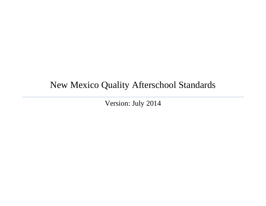# New Mexico Quality Afterschool Standards

Version: July 2014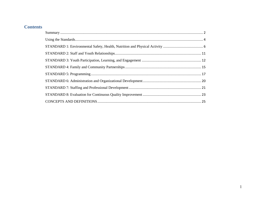## **Contents**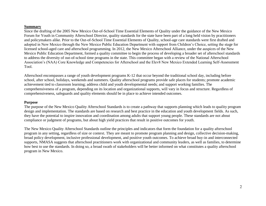### **Summary**

Since the drafting of the 2005 New Mexico Out-of-School Time Essential Elements of Quality under the guidance of the New Mexico Forum for Youth in Community Afterschool Director, quality standards for the state have been part of a long held vision by practitioners and policymakers alike. Prior to the Out-of-School Time Essential Elements of Quality, school-age care standards were first drafted and adopted in New Mexico through the New Mexico Public Education Department with support from Children's Choice, setting the stage for licensed school-aged care and afterschool programming. In 2012, the New Mexico Afterschool Alliance, under the auspices of the New Mexico Public Education Department, formed a quality committee to begin the process of developing a broader set of afterschool standards to address the diversity of out-of-school time programs in the state. This committee began with a review of the National Afterschool Association's (NAA) Core Knowledge and Competencies for Afterschool and the Elev8 New Mexico Extended Learning Self-Assessment Tool.

Afterschool encompasses a range of youth development programs K-12 that occur beyond the traditional school day, including before school, after school, holidays, weekends and summers. Quality afterschool programs provide safe places for students; promote academic achievement tied to classroom learning; address child and youth developmental needs; and support working families. The comprehensiveness of a program, depending on its location and organizational supports, will vary in focus and structure. Regardless of comprehensiveness, safeguards and quality elements should be in place to achieve intended outcomes.

## **Purpose**

The purpose of the New Mexico Quality Afterschool Standards is to create a pathway that supports planning which leads to quality program design and implementation. The standards are based on research and best practice in the education and youth development fields. As such, they have the potential to inspire innovation and coordination among adults that support young people. These standards are not about compliance or judgment of programs, but about high yield practices that result in positive outcomes for youth.

The New Mexico Quality Afterschool Standards outline the principles and indicators that form the foundation for a quality afterschool program in any setting, regardless of size or context. They are meant to promote program planning and design, collective decision-making, broad policy development, inclusive professional development, and positive youth outcomes. To achieve broad buy-in and interconnected supports, NMASA suggests that afterschool practitioners work with organizational and community leaders, as well as families, to determine how best to use the standards. In doing so, a broad swath of stakeholders will be better informed on what constitutes a quality afterschool program in New Mexico.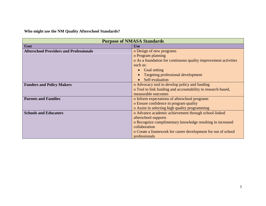**Who might use the NM Quality Afterschool Standards?**

| <b>Purpose of NMASA Standards</b>              |                                                                 |  |  |
|------------------------------------------------|-----------------------------------------------------------------|--|--|
| <b>User</b>                                    | <b>Use</b>                                                      |  |  |
| <b>Afterschool Providers and Professionals</b> | o Design of new programs                                        |  |  |
|                                                | o Program planning                                              |  |  |
|                                                | o As a foundation for continuous quality improvement activities |  |  |
|                                                | such as:                                                        |  |  |
|                                                | <b>Goal setting</b><br>$\bullet$                                |  |  |
|                                                | Targeting professional development                              |  |  |
|                                                | Self-evaluation                                                 |  |  |
| <b>Funders and Policy Makers</b>               | o Advocacy tool to develop policy and funding                   |  |  |
|                                                | o Tool to link funding and accountability to research-based,    |  |  |
|                                                | measurable outcomes                                             |  |  |
| <b>Parents and Families</b>                    | o Inform expectations of afterschool programs                   |  |  |
|                                                | o Ensure confidence in program quality                          |  |  |
|                                                | o Assist in selecting high quality programming                  |  |  |
| <b>Schools and Educators</b>                   | o Advance academic achievement through school-linked            |  |  |
|                                                | afterschool supports                                            |  |  |
|                                                | o Recognize complimentary knowledge resulting in increased      |  |  |
|                                                | collaboration                                                   |  |  |
|                                                | o Create a framework for career development for out of school   |  |  |
|                                                | professionals                                                   |  |  |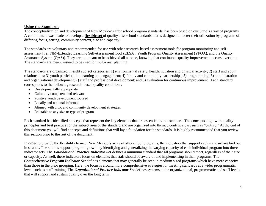## **Using the Standards**

The conceptualization and development of New Mexico's after school program standards, has been based on our State's array of programs. A commitment was made to develop a **flexible set** of quality afterschool standards that is designed to foster their utilization by programs of differing focus, setting, community context, size and capacity.

The standards are voluntary and recommended for use with other research-based assessment tools for program monitoring and selfassessment [i.e., NM-Extended Learning Self-Assessment Tool (ELSA), Youth Program Quality Assessment (YPQA), and the Quality Assurance System (QAS)]. They are not meant to be achieved all at once, knowing that continuous quality improvement occurs over time. The standards are meant instead to be used for multi-year planning.

The standards are organized in eight subject categories: 1) environmental safety, health, nutrition and physical activity; 2) staff and youth relationships; 3) youth participation, learning and engagement; 4) family and community partnerships; 5) programming; 6) administration and organizational development; 7) staff and professional development; and 8) evaluation for continuous improvement. Each standard corresponds to the following research-based quality conditions:

- Developmentally appropriate
- Culturally competent and relevant
- Positive youth development focused
- Locally and national informed
- Aligned with civic and community development strategies
- Relatable to any size or type of program

Each standard has identified concepts that represent the key elements that are essential to that standard. The concepts align with quality principles and best practice for the subject area of the standard and are organized into themed content areas, such as "culture." At the end of this document you will find concepts and definitions that will lay a foundation for the standards. It is highly recommended that you review this section prior to the rest of the document.

In order to provide the flexibility to meet New Mexico's array of afterschool programs, the indicators that support each standard are laid out in strands. The strands support program growth by identifying and generalizing the varying capacity of each individual program into three indicator sets. The *Foundational Practice Indicator Set* defines a minimum standard that **all** programs should meet, regardless of their size or capacity. As well, these indicators focus on elements that staff should be aware of and implementing in their programs. The *Comprehensive Program Indicator Set* defines elements that may generally be seen in medium sized programs which have more capacity than those in the prior grouping. Here, the focus is around more comprehensive strategies for meeting standards at a wider programmatic level, such as staff training. The *Organizational Practice Indicator Set* defines systems at the organizational, programmatic and staff levels that will support and sustain quality over the long term.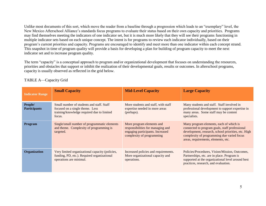Unlike most documents of this sort, which move the reader from a baseline through a progression which leads to an "exemplary" level, the New Mexico Afterschool Alliance's standards focus programs to evaluate their status based on their own capacity and priorities. Programs may find themselves meeting the indicators of one indicator set, but it is much more likely that they will see their programs functioning in multiple indicator sets based on each unique concept. The intent is for programs to review each indicator individually, based on their program's current priorities and capacity. Programs are encouraged to identify and meet more than one indicator within each concept strand. This snapshot in time of program quality will provide a basis for developing a plan for building of program capacity to meet the next indicator set and to increase program quality.

The term "capacity" is a conceptual approach to program and/or organizational development that focuses on understanding the resources, priorities and obstacles that support or inhibit the realization of their developmental goals, results or outcomes. In afterschool programs, capacity is usually observed as reflected in the grid below.

| <b>Indicator Range</b>         | <b>Small Capacity</b>                                                                                                                | <b>Mid-Level Capacity</b>                                                                                                       | <b>Large Capacity</b>                                                                                                                                                                                                                 |
|--------------------------------|--------------------------------------------------------------------------------------------------------------------------------------|---------------------------------------------------------------------------------------------------------------------------------|---------------------------------------------------------------------------------------------------------------------------------------------------------------------------------------------------------------------------------------|
| People/<br><b>Participants</b> | Small number of students and staff. Staff<br>focused on a single theme. Less<br>training/knowledge required due to limited<br>focus. | More students and staff, with staff<br>expertise needed in more areas<br>(perhaps).                                             | Many students and staff. Staff involved in<br>professional development to support expertise in<br>many areas. Some staff may be content<br>specialists.                                                                               |
| Program                        | Single/small number of programmatic elements<br>and theme. Complexity of programming is<br>targeted.                                 | More program elements and<br>responsibilities for managing and<br>engaging participants. Increased<br>complexity of programming | Many program elements, each of which is<br>connected to program goals, staff professional<br>development, research, school priorities, etc. High<br>complexity of programming due varied focus<br>areas, requirements, elements, etc. |
| Organization                   | Very limited organizational capacity (policies,<br>funding, PD, etc.). Required organizational<br>operations are minimal.            | Increased policies and requirements.<br>More organizational capacity and<br>operations.                                         | Policies/Procedures, Vision/Mission, Outcomes,<br>Partnerships, etc. are in place. Program is<br>supported at the organizational level around best<br>practices, research, and evaluation.                                            |

## TABLE A—Capacity Grid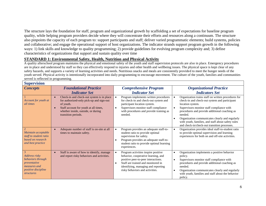The structure lays the foundation for staff, program and organizational growth by scaffolding a set of expectations for baseline program quality, while helping program providers decide where they will concentrate their efforts and resources along a continuum. The structure also pinpoints the capacity of each program to: support participants and staff; deliver varied programmatic elements; build systems, policies and collaborative; and engage the operational support of host organizations. The indicator strands support program growth in the following ways: 1) link skills and knowledge to quality programming; 2) provide guidelines for evolving program complexity and; 3) define characteristics of organizations that support and sustain quality over time

## **STANDARD 1: Environmental Safety, Health, Nutrition and Physical Activity**

A quality afterschool program maintains the physical and emotional safety of the youth and staff supervision protocols are also in place. Emergency procedures are in place and understood by staff so they can effectively respond to injuries and other health and wellbeing issues. The physical space is kept clear of any safety hazards, and supports a variety of learning activities and needs. Nutritious snacks and meals are consistently provided to meet the hunger needs of the youth served. Physical activity is intentionally incorporated into daily programming to encourage movement. The culture of the youth, families and communities served is reflected in programming.

| <b>Supervision</b>                                                                                                         |                                                                                                                                                                                                          |                                                                                                                                                                                                                                                |                                                                                                                                                                                                                                                                                                                                                                                            |
|----------------------------------------------------------------------------------------------------------------------------|----------------------------------------------------------------------------------------------------------------------------------------------------------------------------------------------------------|------------------------------------------------------------------------------------------------------------------------------------------------------------------------------------------------------------------------------------------------|--------------------------------------------------------------------------------------------------------------------------------------------------------------------------------------------------------------------------------------------------------------------------------------------------------------------------------------------------------------------------------------------|
| <b>Concepts</b>                                                                                                            | <b>Foundational Practice</b><br><b>Indicator Set</b>                                                                                                                                                     | <b>Comprehensive Program</b><br><b>Indicator Set</b>                                                                                                                                                                                           | <b>Organizational Practice</b><br><b>Indicators Set</b>                                                                                                                                                                                                                                                                                                                                    |
| Account for youth at<br>all times                                                                                          | Check-in and check-out system is in place<br>for authorized-only pick-up and sign-out<br>of youth.<br>Staff account for youth at all times,<br>whether inside, outside, or during<br>transition periods. | Program implements written procedures<br>for check-in and check-out system and<br>participant location system.<br>Supervisors monitor staff compliance<br>$\bullet$<br>with procedures and provide training as<br>needed.                      | Organization trains staff on written procedures for<br>check-in and check-out system and participant<br>location system.<br>Supervisors monitor staff compliance with<br>procedures and provide additional coaching as<br>needed.<br>Organization communicates clearly and regularly<br>with youth, families, and staff about safety rules<br>and check-in/check-out transition processes. |
| $\overline{2}$<br>Maintain acceptable<br>staff to student ratio<br>based on research<br>and best practice                  | Adequate number of staff is on-site at all<br>times to maintain safety.                                                                                                                                  | Program provides an adequate staff-to-<br>$\bullet$<br>student ratio to provide optimal<br>supervision for safety.<br>Program provides an adequate staff-to-<br>$\bullet$<br>student ratio to provide optimal learning<br>experiences.         | Organization provides ideal staff-to-student ratio<br>to provide optimal supervision and learning<br>experiences for both on and off-site activities.                                                                                                                                                                                                                                      |
| 3<br>Address risky<br>behaviors through<br>preventative<br>measures and<br><i>positive discipline</i><br><i>structures</i> | Staff is aware of how to identify, manage<br>and report risky behaviors and activities.                                                                                                                  | Program activities inspire positive<br>behavior, cooperative learning, and<br>positive peer-to-peer interactions.<br>Staff are trained and monitored in<br>$\bullet$<br>identifying, managing and reporting<br>risky behaviors and activities. | Organization implements a positive behavior<br>$\bullet$<br>policy.<br>Supervisors monitor staff compliance with<br>procedures and provide additional coaching as<br>needed.<br>Organization communicates clearly and regularly<br>with youth, families and staff about the behavior<br>policy.                                                                                            |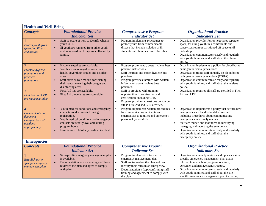| <b>Health and Well-Being</b>                                                                   |                                                                                                                                                                                                                                              |                                                                                                                                                                                                                                                                                         |                                                                                                                                                                                                                                                                                                                                                                                                                       |
|------------------------------------------------------------------------------------------------|----------------------------------------------------------------------------------------------------------------------------------------------------------------------------------------------------------------------------------------------|-----------------------------------------------------------------------------------------------------------------------------------------------------------------------------------------------------------------------------------------------------------------------------------------|-----------------------------------------------------------------------------------------------------------------------------------------------------------------------------------------------------------------------------------------------------------------------------------------------------------------------------------------------------------------------------------------------------------------------|
| <b>Concepts</b>                                                                                | <b>Foundational Practice</b><br><b>Indicator Set</b>                                                                                                                                                                                         | <b>Comprehensive Program</b><br><b>Indicator Set</b>                                                                                                                                                                                                                                    | <b>Organizational Practice</b><br><b>Indicators Set</b>                                                                                                                                                                                                                                                                                                                                                               |
| Protect youth from<br>spreading illness<br>and disease                                         | Staff is aware of how to identify when a<br>$\bullet$<br>youth is ill.<br>Ill youth are removed from other youth<br>$\bullet$<br>and monitored until they are collected by<br>family.                                                        | Program implements procedures to<br>protect youth from communicable<br>disease that include isolation of ill<br>students until families can collect them.                                                                                                                               | Organization provides for, or negotiates separate<br>$\bullet$<br>space, for ailing youth in a comfortable and<br>supervised room or partitioned off space until<br>picked-up.<br>Organization communicates clearly and regularly<br>$\bullet$<br>with youth, families, and staff about the illness<br>policy.                                                                                                        |
| $\overline{2}$<br>Promote hygiene<br>precautions and<br>practices<br>precautions               | Hygiene supplies are available.<br>Youth are encouraged to wash their<br>hands, cover their coughs and disinfect<br>areas.<br>Staff serve as role models for washing<br>their hands, covering their coughs and<br>disinfecting areas.        | Program prominently posts hygiene best<br>$\bullet$<br>practice instructions.<br>Staff instructs and model hygiene best<br>$\bullet$<br>practices.<br>Program provides families with written<br>$\bullet$<br>information about hygiene best<br>practices.                               | Organization implements a policy for blood borne<br>$\bullet$<br>pathogen universal precautions.<br>Organization trains staff annually on blood borne<br>$\bullet$<br>pathogen universal precautions (OSHA).<br>Organization communicates clearly and regularly<br>$\bullet$<br>with youth, families, and staff about the hygiene<br>policy.                                                                          |
| 3<br><b>First Aid and CPR</b><br>are made available                                            | First Aid kits are available.<br>$\bullet$<br>First Aid procedures are accessible.                                                                                                                                                           | Staff is provided with training<br>$\bullet$<br>opportunities to receive first aid<br>certification, including CPR.<br>Program provides at least one person on<br>$\bullet$<br>site is First Aid and CPR certified.                                                                     | Organization requires all staff are certified in First<br>$\bullet$<br>Aid and CPR.                                                                                                                                                                                                                                                                                                                                   |
| $\overline{4}$<br>Communicate and<br>document<br>emergencies and<br>accidents<br>appropriately | Youth medical conditions and emergency<br>contacts are documented during<br>registration.<br>Youth medical conditions and emergency<br>contacts are readily available during<br>program hours.<br>Families are told of any medical incident. | Program implements written procedures<br>$\bullet$<br>for communicating accidents and<br>emergencies to families and emergency<br>personnel (as needed).                                                                                                                                | Organization implements a policy that defines how<br>emergencies are handled and documented<br>including procedures about communicating<br>emergencies in a timely manner.<br>Staff are trained and monitored in identifying,<br>$\bullet$<br>managing and reporting the emergency.<br>Organization communicates clearly and regularly<br>$\bullet$<br>with youth, families, and staff about the<br>emergency policy. |
| <b>Emergencies</b>                                                                             |                                                                                                                                                                                                                                              |                                                                                                                                                                                                                                                                                         |                                                                                                                                                                                                                                                                                                                                                                                                                       |
| <b>Concepts</b>                                                                                | <b>Foundational Practice</b><br><b>Indicator Set</b>                                                                                                                                                                                         | <b>Comprehensive Program</b><br><b>Indicator Set</b>                                                                                                                                                                                                                                    | <b>Organizational Practice</b><br><b>Indicators Set</b>                                                                                                                                                                                                                                                                                                                                                               |
| Establish a site-<br>specific emergency<br>management plan                                     | Site-specific emergency management plan<br>$\bullet$<br>is available.<br>Documentation exists showing staff have<br>reviewed the plan and agree to comply<br>with plan.                                                                      | Program implements site-specific<br>$\bullet$<br>emergency management plan.<br>Staff are trained on the plan and can<br>$\bullet$<br>identify their roles in an emergency.<br>Documentation is kept confirming staff<br>$\bullet$<br>training and agreement to comply with<br>the plan. | Organization annually reviews and updates a site-<br>$\bullet$<br>specific emergency management plan that is<br>relevant to afterschool program locations,<br>personnel and management structure.<br>Organization communicates clearly and regularly<br>$\bullet$<br>with youth, families, and staff about the site-<br>specific emergency management plan including                                                  |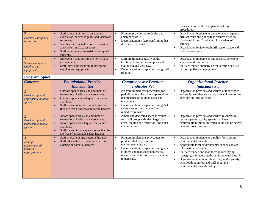|                                                                                |                                                                                                                                                                                                                                                                  |                                                                                                                                                                                                                                                                | the evacuation routes and parent pick-up<br>procedures.                                                                                                                                                                                                                                                                                                                                                                                          |
|--------------------------------------------------------------------------------|------------------------------------------------------------------------------------------------------------------------------------------------------------------------------------------------------------------------------------------------------------------|----------------------------------------------------------------------------------------------------------------------------------------------------------------------------------------------------------------------------------------------------------------|--------------------------------------------------------------------------------------------------------------------------------------------------------------------------------------------------------------------------------------------------------------------------------------------------------------------------------------------------------------------------------------------------------------------------------------------------|
| $\overline{2}$<br>Practice emergency<br>responses                              | Staff is aware of how to respond to<br>$\bullet$<br>evacuation, shelter-in-place and lockdown<br>responses.<br>Youth are instructed in both evacuation<br>and shelter-in-place responses.<br>Staff is designated to assist handicapped<br>$\bullet$<br>students. | Program provides periodic fire and<br>emergency drills.<br>Documentation is kept confirming that<br>$\bullet$<br>drills are conducted.                                                                                                                         | Organization implements an emergency response<br>$\bullet$<br>drill schedule and policy that requires drills are<br>conducted for staff and youth in a variety of<br>settings.<br>Organization reviews each drill performance and<br>$\bullet$<br>makes corrections.                                                                                                                                                                             |
| 3<br>Secure emergency<br>supplies and<br>equipment                             | Emergency supplies for shelter-in place<br>$\bullet$<br>are available.<br>Staff knows the location of emergency<br>$\bullet$<br>supplies and equipment.                                                                                                          | Staff are trained annually on the<br>location of emergency supplies and<br>equipment and their use.<br>Documentation is kept confirming staff<br>$\bullet$<br>training                                                                                         | Organization implements and inspects emergency<br>$\bullet$<br>supplies and equipment.<br>Staff are trained annually on the location and use<br>$\bullet$<br>of the supplies and equipment.                                                                                                                                                                                                                                                      |
| <b>Program Space</b>                                                           |                                                                                                                                                                                                                                                                  |                                                                                                                                                                                                                                                                |                                                                                                                                                                                                                                                                                                                                                                                                                                                  |
| <b>Concepts</b>                                                                | <b>Foundational Practice</b>                                                                                                                                                                                                                                     | <b>Comprehensive Program</b>                                                                                                                                                                                                                                   | <b>Organizational Practice</b>                                                                                                                                                                                                                                                                                                                                                                                                                   |
|                                                                                | <b>Indicator Set</b>                                                                                                                                                                                                                                             | <b>Indicator Set</b>                                                                                                                                                                                                                                           | <b>Indicators Set</b>                                                                                                                                                                                                                                                                                                                                                                                                                            |
| Provide safe and<br>appropriate outdoor<br>spaces                              | Outdoor spaces are clean and meet or<br>$\bullet$<br>exceed local health and safety codes.<br>Outdoor spaces are adequate for planned<br>activities.<br>Staff inspect outdoor spaces to see that<br>$\bullet$<br>they are free of observable safety hazards.     | Program implements procedures for<br>$\bullet$<br>periodic safety checks and appropriate<br>maintenance of outdoor space and<br>equipment.<br>Documentation is kept confirming that<br>$\bullet$<br>safety checks are conducted and<br>remedies are made.      | Organization provides and secures outdoor space<br>$\bullet$<br>and equipment that are appropriate and safe for the<br>ages and abilities of youth.                                                                                                                                                                                                                                                                                              |
| $\overline{2}$<br>Provide safe and<br>appropriate indoor<br>spaces             | Indoor spaces are clean and meet or<br>$\bullet$<br>exceed local health and safety codes.<br>Indoor spaces are adequate for planned<br>activities.<br>Staff inspect indoor spaces to see that they<br>$\bullet$<br>are free of observable safety hazards.        | Ample and dedicated space is available<br>$\bullet$<br>for small group activities, large play<br>areas, reading and reflection, and open<br>conversation.                                                                                                      | Organization provides and secures resources to<br>$\bullet$<br>create separate activity spaces that have<br>comfortable furniture in which youth can be active,<br>or reflect, read, and relax.                                                                                                                                                                                                                                                  |
| $\overline{\mathbf{3}}$<br>Manage<br>environmental<br>hazards<br>appropriately | Staff is aware of any potential hazards.<br>$\bullet$<br>Staff take action to protect youth from<br>$\bullet$<br>existing or potential hazards.                                                                                                                  | Program implements procedures for<br>$\bullet$<br>products that may pose an<br>environmental hazard.<br>Documentation is kept confirming what<br>$\bullet$<br>is stored and that scheduled checks<br>occur to ascertain stores are current and<br>remain safe. | Organization implements a policy for handling<br>$\bullet$<br>environmental hazards.<br>$\bullet$<br>Appropriate local environmental agency contact<br>information is current.<br>Staff are trained and monitored in identifying,<br>$\bullet$<br>managing and reporting the environmental hazard.<br>Organization communicates clearly and regularly<br>$\bullet$<br>with youth, families, and staff about the<br>environmental hazards policy. |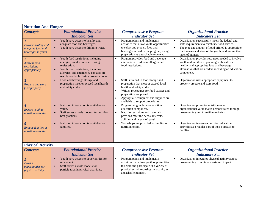| <b>Nutrition And Hunger</b>                                     |                                                                                                                                                                                                                                |                                                                                                                                                                                                                                                                                                      |                                                                                                                                                                                                                                                  |
|-----------------------------------------------------------------|--------------------------------------------------------------------------------------------------------------------------------------------------------------------------------------------------------------------------------|------------------------------------------------------------------------------------------------------------------------------------------------------------------------------------------------------------------------------------------------------------------------------------------------------|--------------------------------------------------------------------------------------------------------------------------------------------------------------------------------------------------------------------------------------------------|
| <b>Concepts</b>                                                 | <b>Foundational Practice</b><br><b>Indicator Set</b>                                                                                                                                                                           | <b>Comprehensive Program</b><br><b>Indicator Set</b>                                                                                                                                                                                                                                                 | <b>Organizational Practice</b><br><b>Indicators Set</b>                                                                                                                                                                                          |
| Provide healthy and<br>adequate food and<br>beverages to youth  | Youth have access to healthy and<br>$\bullet$<br>adequate food and beverages.<br>Youth have access to drinking water.<br>$\bullet$                                                                                             | Program plans and implements<br>$\bullet$<br>activities that allow youth opportunities<br>to select and prepare food and<br>beverages served in the program, using<br>preparation as a teachable moment.                                                                                             | Organization successfully meets the federal and<br>$\bullet$<br>state requirements to reimburse food service.<br>The type and amount of food offered is appropriate<br>for the ages and sizes of the youth, addressing their<br>level of hunger. |
| $\overline{2}$<br>Address food<br>restrictions<br>appropriately | Youth food restrictions, including<br>$\bullet$<br>allergies, are documented during<br>registration.<br>Youth food restrictions, including<br>allergies, and emergency contacts are<br>readily available during program hours. | Program provides food and beverage<br>$\bullet$<br>alternatives to address allergies and<br>food restrictions.                                                                                                                                                                                       | Organization provides resources needed to involve<br>$\bullet$<br>youth and families in planning with staff for<br>healthy and appropriate food and beverage<br>alternatives that are needed, including an education<br>component.               |
| $\overline{\mathbf{3}}$<br>Prepare and store<br>food properly   | Food and beverage storage and<br>$\bullet$<br>preparation meet or exceed local health<br>and safety codes.                                                                                                                     | Staff is trained in food storage and<br>$\bullet$<br>preparation that meet or exceed local<br>health and safety codes.<br>Written procedures for food storage and<br>$\bullet$<br>preparation are posted.<br>Appropriate equipment and supplies are<br>$\bullet$<br>available to support procedures. | Organization uses appropriate equipment to<br>properly prepare and store food.                                                                                                                                                                   |
| 4<br>Expose youth to<br>nutrition activities                    | Nutrition information is available for<br>youth.<br>Staff serves as role models for nutrition<br>$\bullet$<br>best practices.                                                                                                  | Programming includes a nutrition<br>$\bullet$<br>education component.<br>Nutrition activities and materials<br>$\bullet$<br>provided meet the needs, interests,<br>abilities and talents of youth.                                                                                                   | Organization promotes nutrition as an<br>$\bullet$<br>organizational value that is demonstrated through<br>programming and in written materials.                                                                                                 |
| 5<br>Engage families in<br>nutrition activities                 | Nutrition information is available for<br>$\bullet$<br>families.                                                                                                                                                               | Workshops are provided to families on<br>$\bullet$<br>nutrition topics.                                                                                                                                                                                                                              | Organization integrates nutrition education<br>$\bullet$<br>activities as a regular part of their outreach to<br>families.                                                                                                                       |
| <b>Physical Activity</b>                                        |                                                                                                                                                                                                                                |                                                                                                                                                                                                                                                                                                      |                                                                                                                                                                                                                                                  |
| <b>Concepts</b>                                                 | <b>Foundational Practice</b><br><b>Indicator Set</b>                                                                                                                                                                           | <b>Comprehensive Program</b><br><b>Indicator Set</b>                                                                                                                                                                                                                                                 | <b>Organizational Practice</b><br><b>Indicators Set</b>                                                                                                                                                                                          |
| 1<br>Provide<br>opportunities for<br>physical activity          | Youth have access to opportunities for<br>$\bullet$<br>movement.<br>Staff serves as role models for<br>$\bullet$<br>participation in physical activities.                                                                      | Program plans and implements<br>$\bullet$<br>activities that allow youth opportunities<br>to select and participate in a variety of<br>physical activities, using the activity as<br>a teachable moment.                                                                                             | Organization integrates physical activity across<br>programming to achieve maximum impact.                                                                                                                                                       |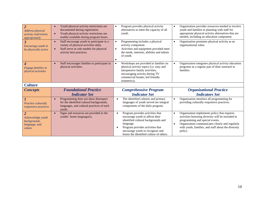| $\overline{2}$<br><b>Address physical</b><br><i>activity restrictions</i><br>appropriately | Youth physical activity restrictions are<br>documented during registration.<br>Youth physical activity restrictions are<br>readily available during program hours.     | Program provides physical activity<br>$\bullet$<br>alternatives to meet the capacity of all<br>youth.                                                                                                   | Organization provides resources needed to involve<br>$\bullet$<br>youth and families in planning with staff for<br>appropriate physical activity alternatives that are<br>needed, including an education component. |
|--------------------------------------------------------------------------------------------|------------------------------------------------------------------------------------------------------------------------------------------------------------------------|---------------------------------------------------------------------------------------------------------------------------------------------------------------------------------------------------------|---------------------------------------------------------------------------------------------------------------------------------------------------------------------------------------------------------------------|
| $\overline{\mathbf{3}}$<br>Encourage youth to<br>be physically active                      | Staff encourage youth to participate in a<br>$\bullet$<br>variety of physical activities daily.<br>Staff serve as role models for physical<br>activity best practices. | Programming includes a physical<br>activity component.<br>Activities and equipment provided meet<br>$\bullet$<br>the needs, interests, abilities and talents<br>of youth.                               | Organization promotes physical activity as an<br>$\bullet$<br>organizational value.                                                                                                                                 |
| $\boldsymbol{4}$<br>Engage families in<br><i>physical activities</i>                       | Staff encourages families to participate in<br>physical activities.                                                                                                    | Workshops are provided to families on<br>physical activity topics (i.e. easy and<br>inexpensive family activities,<br>encouraging activity during TV<br>commercial breaks, kid friendly<br>isometrics). | Organization integrates physical activity education<br>$\bullet$<br>programs as a regular part of their outreach to<br>families.                                                                                    |
| <b>Culture</b>                                                                             |                                                                                                                                                                        |                                                                                                                                                                                                         |                                                                                                                                                                                                                     |
| <b>Concepts</b>                                                                            | <b>Foundational Practice</b>                                                                                                                                           | <b>Comprehensive Program</b>                                                                                                                                                                            | <b>Organizational Practice</b>                                                                                                                                                                                      |
|                                                                                            | <b>Indicator Set</b>                                                                                                                                                   | <b>Indicator Set</b>                                                                                                                                                                                    | <b>Indicators Set</b>                                                                                                                                                                                               |
| Practice culturally<br>responsive practices                                                | Programming does not show disrespect<br>for the identified cultural backgrounds,<br>languages, and cultural practices of each<br>youth.                                | The identified cultures and primary<br>$\bullet$<br>languages of youth served are integral<br>components of the daily program.                                                                          | Organization monitors all programming for<br>providing culturally responsive practices.                                                                                                                             |
| $\overline{2}$<br>Acknowledge youth<br>backgrounds,<br>language, and                       | Signs and resources are provided in the<br>$\bullet$<br>youths' home language(s).                                                                                      | Program provides activities that<br>$\bullet$<br>encourage youth to affirm their<br>identified cultural backgrounds and<br>language.                                                                    | Organization implements policy that requires<br>$\bullet$<br>activities honoring diversity will be included in<br>programming and special events.<br>Organization communicates clearly and regularly                |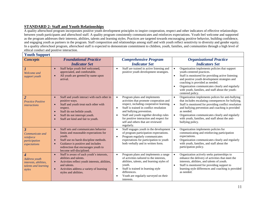## **STANDARD 2: Staff and Youth Relationships**

A quality afterschool program incorporates positive youth development principles to inspire cooperation, respect and other indicators of effective relationships between youth participants and afterschool staff. A quality program consistently communicates and reinforces expectations. Youth feel welcome and supported as the program addresses their interests, abilities, talents and learning styles. Practices are targeted towards encouraging positive behavior, building confidence, and engaging youth as partners in the program. Staff composition and relationships among staff and with youth reflect sensitivity to diversity and gender equity. In a quality afterschool program, afterschool staff is expected to demonstrate commitment to children, youth, families, and communities through a high level of ethical conduct and positive interaction. **Youth Support** 

| <b>Youth Support</b>                                                                                    |                                                                                                                                                                                                                                             |                                                                                                                                                                                                                                                                                                                                                               |                                                                                                                                                                                                                                                                                                                                                                                        |
|---------------------------------------------------------------------------------------------------------|---------------------------------------------------------------------------------------------------------------------------------------------------------------------------------------------------------------------------------------------|---------------------------------------------------------------------------------------------------------------------------------------------------------------------------------------------------------------------------------------------------------------------------------------------------------------------------------------------------------------|----------------------------------------------------------------------------------------------------------------------------------------------------------------------------------------------------------------------------------------------------------------------------------------------------------------------------------------------------------------------------------------|
| <b>Concepts</b>                                                                                         | <b>Foundational Practice</b>                                                                                                                                                                                                                | <b>Comprehensive Program</b>                                                                                                                                                                                                                                                                                                                                  | <b>Organizational Practice</b>                                                                                                                                                                                                                                                                                                                                                         |
|                                                                                                         | <b>Indicator Set</b>                                                                                                                                                                                                                        | <b>Indicator Set</b>                                                                                                                                                                                                                                                                                                                                          | <b>Indicators Set</b>                                                                                                                                                                                                                                                                                                                                                                  |
| $\boldsymbol{l}$<br>Welcome and<br>support youth                                                        | Staff helps youth feel welcomed,<br>appreciated, and comfortable.<br>All youth are greeted by name upon<br>arrival.                                                                                                                         | Staff are trained in active listening and<br>$\bullet$<br>positive youth development strategies.                                                                                                                                                                                                                                                              | Organization implements policies that support<br>$\bullet$<br>youth-centered practices.<br>Staff is monitored for providing active listening<br>$\bullet$<br>and positive youth development strategies and<br>coaching is provided as needed.<br>Organization communicates clearly and regularly<br>with youth, families, and staff about the youth-<br>centered policy.               |
| $\overline{2}$<br><b>Practice Positive</b><br><i>interactions</i>                                       | Staff and youth interact with each other in<br>positive ways.<br>Staff and youth treat each other with<br>respect.<br>Staff do not belittle youth.<br>Staff do not interrupt youth.<br>Staff are kind and fair to youth.                    | Program plans and implements<br>$\bullet$<br>activities that promote cooperation and<br>respect, including cooperative learning.<br>Staff is trained in conflict resolution<br>$\bullet$<br>and bullying prevention.<br>Staff and youth together develop rules<br>for positive interaction and respect for<br>self and others that are reviewed<br>regularly. | Organization implements polices for anti-bullying<br>$\bullet$<br>that includes escalating consequences for bullying.<br>$\bullet$<br>Staff is monitored for providing conflict resolution<br>and bullying prevention and coaching is provided<br>as needed.<br>Organization communicates clearly and regularly<br>with youth, families, and staff about the anti-<br>bullying policy. |
| $\overline{\mathbf{3}}$<br>Communicate and<br>reinforce<br>participation<br>expectations                | Staff sets and communicates behavior<br>limits and reasonable expectations for<br>youth.<br>Staff use no harsh discipline methods.<br>Guidance is positive and includes<br>redirection that encourages youth to<br>become self-disciplined. | Staff engages youth in the development<br>$\bullet$<br>of program participation expectations.<br>Program regularly communicates<br>$\bullet$<br>expectations for participation to youth<br>both verbally and in written form.                                                                                                                                 | Organization implements policies for<br>$\bullet$<br>communicating and reinforcing participation<br>expectations.<br>Organization communicates clearly and regularly<br>$\bullet$<br>with youth, families, and staff about the<br>participation policy.                                                                                                                                |
| $\overline{\boldsymbol{4}}$<br>Address youth<br>interests, abilities,<br>talents and learning<br>styles | Staff is aware of each youth's interests,<br>abilities and talents.<br>Activities reflect youth interests, abilities,<br>and talents.<br>Activities address a variety of learning<br>styles and abilities.                                  | Program plans and implements a range<br>$\bullet$<br>of activities tailored to the interests.<br>abilities, talents, and learning styles of<br>youth.<br>Staff is trained in learning style<br>$\bullet$<br>differences.<br>Youth are regularly surveyed on their<br>interests.                                                                               | Organization actively seeks partnerships to<br>$\bullet$<br>enhance the delivery of activities that meet the<br>interests, abilities, and talents of youth.<br>Staff is monitored for providing support to<br>$\bullet$<br>learning style differences and coaching is provided<br>as needed.                                                                                           |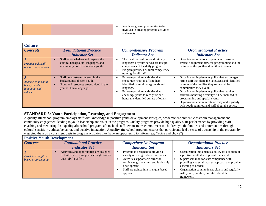| involved in creating program activities<br>$\sigma$ r<br>$\sim$<br>and events. |
|--------------------------------------------------------------------------------|
|--------------------------------------------------------------------------------|

| <b>Culture</b>                                               |                                                                                                                                       |                                                                                                                                                                                                                                            |                                                                                                                                                                                                                                                                                                                                                                                                                                                              |
|--------------------------------------------------------------|---------------------------------------------------------------------------------------------------------------------------------------|--------------------------------------------------------------------------------------------------------------------------------------------------------------------------------------------------------------------------------------------|--------------------------------------------------------------------------------------------------------------------------------------------------------------------------------------------------------------------------------------------------------------------------------------------------------------------------------------------------------------------------------------------------------------------------------------------------------------|
| <b>Concepts</b>                                              | <b>Foundational Practice</b>                                                                                                          | <b>Comprehensive Program</b>                                                                                                                                                                                                               | <b>Organizational Practice</b>                                                                                                                                                                                                                                                                                                                                                                                                                               |
|                                                              | <b>Indicator Set</b>                                                                                                                  | <b>Indicator Set</b>                                                                                                                                                                                                                       | <b>Indicators Set</b>                                                                                                                                                                                                                                                                                                                                                                                                                                        |
| Practice culturally<br>responsive practices                  | Staff acknowledges and respects the<br>cultural background, languages, and<br>community practices of each youth.                      | The identified cultures and primary<br>languages of youth served are integral<br>components of the daily program.<br>Program provides cultural competency<br>training for all staff.                                                       | Organization monitors its practices to ensure<br>strategic alignment between programming and the<br>cultures of the youth and families it serves.                                                                                                                                                                                                                                                                                                            |
| Acknowledge youth<br>backgrounds,<br>language, and<br>values | Staff demonstrates interest in the<br>backgrounds of each youth.<br>Signs and resources are provided in the<br>youths' home language. | Program provides activities that<br>encourage youth to affirm their<br>identified cultural backgrounds and<br>language.<br>Program provides activities that<br>encourage youth to recognize and<br>honor the identified culture of others. | Organization implements policy that encourages<br>$\bullet$<br>hiring staff that share the languages and identified<br>cultures of the families they serve and the<br>communities they live in.<br>Organization implements policy that requires<br>activities honoring diversity will be included in<br>programming and special events.<br>Organization communicates clearly and regularly<br>$\bullet$<br>with youth, families, and staff about the policy. |

## **STANDARD 3: Youth Participation, Learning, and Engagement**

A quality afterschool program employs staff with knowledge in positive youth development strategies, academic enrichment, classroom management and community engagement leading to youth leadership and voice in the program. Quality programs provide high quality staff performance by providing staff coaching and mentoring. In a quality afterschool program, afterschool staff demonstrates commitment to children, youth, families and communities through cultural sensitivity, ethical behavior, and positive interaction. A quality afterschool program ensures that participants feel a sense of ownership in the program by engaging them on a consistent basis in program activities they have an opportunity to inform (e.g. "voice and choice")

#### **Positive Youth Development**

| <b>Concepts</b>                                | <b>Foundational Practice</b>                                                                                      | <b>Comprehensive Program</b>                                                                                                                                                                                                        | <b>Organizational Practice</b>                                                                                                                                                                                                                                                                                                    |
|------------------------------------------------|-------------------------------------------------------------------------------------------------------------------|-------------------------------------------------------------------------------------------------------------------------------------------------------------------------------------------------------------------------------------|-----------------------------------------------------------------------------------------------------------------------------------------------------------------------------------------------------------------------------------------------------------------------------------------------------------------------------------|
|                                                | <b>Indicator Set</b>                                                                                              | <b>Indicator Set</b>                                                                                                                                                                                                                | <b>Indicators Set</b>                                                                                                                                                                                                                                                                                                             |
| <b>Provide strengths-</b><br>based programming | Activities and opportunities are designed<br>to build on existing youth strengths rather<br>than "fix" a deficit. | Program is designed to provide a<br>variety of strengths-based activities.<br>Activities support self-direction,<br>resilience, goal-setting, and leadership<br>development.<br>Staff are trained in a strengths-based<br>approach. | Organization implements a policy for adoption of<br>a positive youth development framework.<br>Supervisors monitor staff compliance with<br>providing a strengths-based approach and provide<br>coaching as needed.<br>Organization communicates clearly and regularly<br>with youth, families, and staff about the<br>framework. |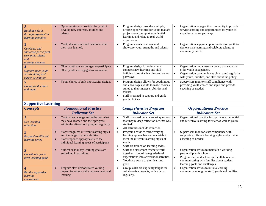| $\overline{2}$<br><b>Build new skills</b><br>through experiential<br>learning activities                         | Opportunities are provided for youth to<br>develop new interests, abilities and<br>talents.                                                                                       | Program design provides multiple,<br>$\bullet$<br>diverse opportunities for youth that are<br>project-based, support experiential<br>learning, and relate to real-world<br>experiences.                                                 | Organization engages the community to provide<br>$\bullet$<br>service learning and opportunities for youth to<br>experience career pathways.                                                                                                                     |  |
|------------------------------------------------------------------------------------------------------------------|-----------------------------------------------------------------------------------------------------------------------------------------------------------------------------------|-----------------------------------------------------------------------------------------------------------------------------------------------------------------------------------------------------------------------------------------|------------------------------------------------------------------------------------------------------------------------------------------------------------------------------------------------------------------------------------------------------------------|--|
| $\overline{\mathbf{3}}$<br>Celebrate and<br>showcase participant<br>strengths, talents<br>and<br>accomplishments | Youth demonstrate and celebrate what<br>they have learned.                                                                                                                        | Program events celebrate and<br>$\bullet$<br>showcase youth strengths and talents.                                                                                                                                                      | Organization supports opportunities for youth to<br>$\bullet$<br>demonstrate learning and celebrate talents at<br>community events.                                                                                                                              |  |
| 4<br>Support older youth<br>skill-building and<br>career orientation                                             | Older youth are encouraged to participate.<br>Older youth are engaged as volunteers.                                                                                              | Program design for older youth<br>$\bullet$<br>connects new learning and skill-<br>building to service learning and career<br>pathways.                                                                                                 | Organization implements a policy that supports<br>$\bullet$<br>older youth engagement.<br>Organization communicates clearly and regularly<br>$\bullet$<br>with youth, families, and staff about the policy.                                                      |  |
| $\overline{5}$<br>Honor youth choice<br>and input                                                                | Youth choice is built into activity design.<br>$\bullet$                                                                                                                          | Program design allows for youth input<br>$\bullet$<br>and encourages youth to make choices<br>suited to their interests, abilities and<br>talents.<br>Staff is trained to support and guide<br>$\bullet$<br>youth choices.              | Supervisors monitor staff compliance with<br>$\bullet$<br>providing youth choice and input and provide<br>coaching as needed.                                                                                                                                    |  |
| <b>Supportive Learning</b>                                                                                       |                                                                                                                                                                                   |                                                                                                                                                                                                                                         |                                                                                                                                                                                                                                                                  |  |
|                                                                                                                  |                                                                                                                                                                                   |                                                                                                                                                                                                                                         |                                                                                                                                                                                                                                                                  |  |
| <b>Concepts</b>                                                                                                  | <b>Foundational Practice</b>                                                                                                                                                      | <b>Comprehensive Program</b>                                                                                                                                                                                                            | <b>Organizational Practice</b>                                                                                                                                                                                                                                   |  |
|                                                                                                                  | <b>Indicator Set</b>                                                                                                                                                              | <b>Indicator Set</b>                                                                                                                                                                                                                    | <b>Indicators Set</b>                                                                                                                                                                                                                                            |  |
| $\mathbf{I}$<br><b>Use learning</b><br>reflection                                                                | Youth acknowledge and reflect on what<br>$\bullet$<br>they have learned and their progress<br>within the afterschool program regularly.                                           | Staff is trained on how to ask questions<br>$\bullet$<br>that inspire deep reflection of what was<br>studied.<br>All activities include reflection.<br>$\bullet$                                                                        | Organizational practice incorporates experiential<br>$\bullet$<br>and reflective learning for staff as well as youth.                                                                                                                                            |  |
| $\overline{2}$<br>Respond to different<br>learning styles                                                        | Staff recognizes different learning styles<br>$\bullet$<br>and the range of youth abilities.<br>Staff responds appropriately to the<br>individual learning needs of participants. | Program activities reflect varying<br>$\bullet$<br>learning approaches and materials to<br>meet the different learning styles of<br>youth.<br>Staff are trained on learning styles.<br>$\bullet$                                        | Supervisors monitor staff compliance with<br>$\bullet$<br>supporting different learning styles and provide<br>coaching as needed.                                                                                                                                |  |
| $\overline{3}$<br>Coordinate grade<br>level learning goals                                                       | Student school day learning goals are<br>embedded in activities.<br>Program staff demonstrates valuing                                                                            | Staff and classroom teachers work<br>$\bullet$<br>together to coordinate grade-level<br>expectations into afterschool activities.<br>Youth are aware of their learning<br>$\bullet$<br>goals.<br>Group skills are explicitly taught for | Organization strives to maintain a working<br>partnership with schools.<br>Program staff and school staff collaborate on<br>$\bullet$<br>communicating with families about student<br>learning goals and challenges.<br>Organization strives to build a learning |  |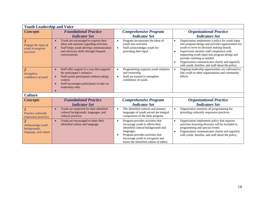| <b>Youth Leadership and Voice</b>                                           |                                                                                                                                                                                                                                 |                                                                                                                                                                                                                                                                       |                                                                                                                                                                                                                                                                                                                                                                                                                                  |  |
|-----------------------------------------------------------------------------|---------------------------------------------------------------------------------------------------------------------------------------------------------------------------------------------------------------------------------|-----------------------------------------------------------------------------------------------------------------------------------------------------------------------------------------------------------------------------------------------------------------------|----------------------------------------------------------------------------------------------------------------------------------------------------------------------------------------------------------------------------------------------------------------------------------------------------------------------------------------------------------------------------------------------------------------------------------|--|
| <b>Concepts</b>                                                             | <b>Foundational Practice</b><br><b>Indicator Set</b>                                                                                                                                                                            | <b>Comprehensive Program</b><br><b>Indicator Set</b>                                                                                                                                                                                                                  | <b>Organizational Practice</b><br><b>Indicators Set</b>                                                                                                                                                                                                                                                                                                                                                                          |  |
| Engage the input of<br>youth in program<br><i>activities</i>                | Youth are encouraged to express their<br>$\bullet$<br>ideas and opinions regarding activities.<br>Staff helps youth develop communication<br>and advocacy skills through frequent<br>conversations.                             | Program incorporates the ideas of<br>$\bullet$<br>youth into activities<br>Staff acknowledges youth for<br>$\bullet$<br>providing their input.                                                                                                                        | Organization implements a policy for youth input<br>$\bullet$<br>into program design and provides opportunities for<br>youth to serve on decision-making boards.<br>Supervisors monitor staff compliance with<br>$\bullet$<br>supporting youth input into program design and<br>provide coaching as needed.<br>Organization communicates clearly and regularly<br>$\bullet$<br>with youth, families, and staff about the policy. |  |
| $\overline{2}$<br>Strengthen<br>confidence of youth                         | Staff offer support in a way that supports<br>$\bullet$<br>the participant's initiative.<br>Staff assists participants without taking<br>$\bullet$<br>control.<br>Staff encourages participants to take on<br>leadership roles. | Programming supports youth initiative<br>$\bullet$<br>and ownership.<br>Staff are trained to strengthen<br>$\bullet$<br>confidence of youth.                                                                                                                          | Ongoing leadership opportunities are cultivated to<br>$\bullet$<br>link youth to other organizations and community<br>efforts.                                                                                                                                                                                                                                                                                                   |  |
| <b>Culture</b>                                                              |                                                                                                                                                                                                                                 |                                                                                                                                                                                                                                                                       |                                                                                                                                                                                                                                                                                                                                                                                                                                  |  |
| <b>Concepts</b>                                                             | <b>Foundational Practice</b><br><b>Indicator Set</b>                                                                                                                                                                            | <b>Comprehensive Program</b><br><b>Indicator Set</b>                                                                                                                                                                                                                  | <b>Organizational Practice</b><br><b>Indicators Set</b>                                                                                                                                                                                                                                                                                                                                                                          |  |
| Practice culturally<br><i>responsive practices</i>                          | Youth are respected for their identified<br>$\bullet$<br>cultural backgrounds, languages, and<br>cultural practices.                                                                                                            | The identified cultures and primary<br>$\bullet$<br>languages of youth served are integral<br>components of the daily program.                                                                                                                                        | Organization monitors all programming for<br>providing culturally responsive practices.                                                                                                                                                                                                                                                                                                                                          |  |
| $\overline{2}$<br>Acknowledge youth<br>backgrounds,<br>language, and values | Youth are encouraged to share their<br>$\bullet$<br>identified culture and language.                                                                                                                                            | Program provides activities that<br>$\bullet$<br>encourage youth to affirm their<br>identified cultural backgrounds and<br>languages.<br>Program provides activities that<br>$\bullet$<br>encourage youth to recognize and<br>honor the identified culture of others. | Organization implements policy that requires<br>$\bullet$<br>activities honoring diversity will be included in<br>programming and special events.<br>Organization communicates clearly and regularly<br>$\bullet$<br>with youth, families, and staff about the policy.                                                                                                                                                           |  |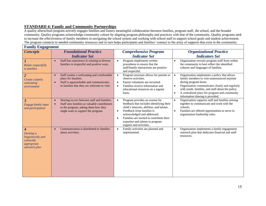## **STANDARD 4: Family and Community Partnerships**

A quality afterschool program actively engages families and fosters meaningful collaboration between families, program staff, the school, and the broader community. Quality programs acknowledge community culture by aligning program philosophy and practices with that of the community. Quality programs seek to increase the effectiveness of family members in navigating the school system and working with school staff to support school goals and student achievement. The program connects to needed community resources and in turn helps participants and families' connect to the array of supports that exist in the community.

| <b>Family Engagement</b>                                                           |                                                                                                                                                                          |                                                                                                                                                                                                                                                                                                                                        |                                                                                                                                                                                                                                                                                                                                             |  |
|------------------------------------------------------------------------------------|--------------------------------------------------------------------------------------------------------------------------------------------------------------------------|----------------------------------------------------------------------------------------------------------------------------------------------------------------------------------------------------------------------------------------------------------------------------------------------------------------------------------------|---------------------------------------------------------------------------------------------------------------------------------------------------------------------------------------------------------------------------------------------------------------------------------------------------------------------------------------------|--|
| <b>Concepts</b>                                                                    | <b>Foundational Practice</b><br><b>Indicator Set</b>                                                                                                                     | <b>Comprehensive Program</b><br><b>Indicator Set</b>                                                                                                                                                                                                                                                                                   | <b>Organizational Practice</b><br><b>Indicators Set</b>                                                                                                                                                                                                                                                                                     |  |
| Relate respectfully<br>to families                                                 | Staff has experience in relating to diverse<br>$\bullet$<br>families in respectful and positive ways.                                                                    | Program implements written<br>$\bullet$<br>procedures to ensure that the<br>staff/family interactions are positive<br>and respectful.                                                                                                                                                                                                  | Organization recruits program staff from within<br>$\bullet$<br>the community to best reflect the identified<br>cultures and languages of families.                                                                                                                                                                                         |  |
| $\overline{2}$<br>Create a family<br>welcoming<br>environment                      | Staff creates a welcoming and comfortable<br>$\bullet$<br>place for families.<br>Staff is approachable and communicates<br>to families that they are welcome to visit.   | Program structure allows for parents to<br>$\bullet$<br>observe activities.<br>Parent volunteers are recruited.<br>$\bullet$<br>Families receive information and<br>$\bullet$<br>educational resources on a regular<br>basis.                                                                                                          | Organization implements a policy that allows<br>family members to visit unannounced anytime<br>during program hours.<br>Organization communicates clearly and regularly<br>$\bullet$<br>with youth, families, and staff about the policy.<br>A centralized place for program and community<br>$\bullet$<br>information sharing is provided. |  |
| $\boldsymbol{\beta}$<br>Engage family input<br>and participation                   | Sharing occurs between staff and families.<br>Staff sees families as valuable contributors<br>to the program, asking them how they<br>might want to support the program. | Program provides an avenue for<br>$\bullet$<br>feedback that includes identifying their<br>child's interests, abilities, and talents.<br>Feedback from families is<br>$\bullet$<br>acknowledged and addressed.<br>Families are invited to contribute their<br>$\bullet$<br>expertise and talents to program<br>support and activities. | Organization supports staff and families joining<br>$\bullet$<br>together to communicate and work with the<br>schools.<br>Families are offered opportunities to serve in<br>$\bullet$<br>organization leadership roles.                                                                                                                     |  |
| 4<br>Develop a<br>linguistically and<br>culturally<br>appropriate<br>outreach plan | Communication is distributed to families<br>about activities.                                                                                                            | Family activities are planned and<br>$\bullet$<br>implemented.                                                                                                                                                                                                                                                                         | Organization implements a family engagement<br>$\bullet$<br>outreach plan that dedicates financial and staff<br>resources.                                                                                                                                                                                                                  |  |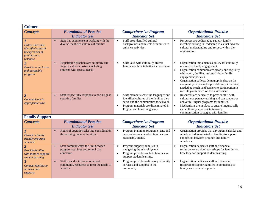| <b>Culture</b>                                                                           |                                                                                                                   |                                                                                                                                                                                                                                |                                                                                                                                                                                                                                                                                                                                                                                                                                               |
|------------------------------------------------------------------------------------------|-------------------------------------------------------------------------------------------------------------------|--------------------------------------------------------------------------------------------------------------------------------------------------------------------------------------------------------------------------------|-----------------------------------------------------------------------------------------------------------------------------------------------------------------------------------------------------------------------------------------------------------------------------------------------------------------------------------------------------------------------------------------------------------------------------------------------|
| <b>Concepts</b>                                                                          | <b>Foundational Practice</b><br><b>Indicator Set</b>                                                              | <b>Comprehensive Program</b><br><b>Indicator Set</b>                                                                                                                                                                           | <b>Organizational Practice</b><br><b>Indicators Set</b>                                                                                                                                                                                                                                                                                                                                                                                       |
| Utilize and value<br>identified cultural<br>backgrounds of<br>families as a<br>resource. | Staff has experience in working with the<br>diverse identified cultures of families.                              | Staff uses identified cultural<br>$\bullet$<br>backgrounds and talents of families to<br>enhance activities.                                                                                                                   | Resources are dedicated to support family<br>members serving in leadership roles that advance<br>cultural understanding and respect within the<br>organization.                                                                                                                                                                                                                                                                               |
| $\overline{2}$<br>Provide an inclusive<br>and accessible<br>program                      | Registration practices are culturally and<br>linguistically inclusive. (Including<br>students with special needs) | Staff talks with culturally diverse<br>$\bullet$<br>families on how to better include them.                                                                                                                                    | Organization implements a policy for culturally<br>responsive family engagement.<br>Organization communicates clearly and regularly<br>$\bullet$<br>with youth, families, and staff about family<br>engagement policies.<br>Organization collects demographic data on the<br>$\bullet$<br>community to assess for possible gaps in service,<br>needed outreach, and barriers to participation; it<br>recruits youth based on this assessment. |
| $\overline{\mathbf{3}}$<br>Communicate in<br>appropriate ways                            | Staff respectfully responds to non-English<br>speaking families.                                                  | Staff members share the languages and<br>$\bullet$<br>identified cultures of the families they<br>serve and the communities they live in.<br>Program materials are disseminated in<br>$\bullet$<br>English and home languages. | Resources are dedicated to provide staff with<br>$\bullet$<br>cultural competency training and can support or<br>deliver bi-lingual programs for families.<br>Mechanisms are in place to ensure linguistically<br>$\bullet$<br>and culturally appropriate two-way<br>communication strategies with families.                                                                                                                                  |
| <b>Family Support</b>                                                                    |                                                                                                                   |                                                                                                                                                                                                                                |                                                                                                                                                                                                                                                                                                                                                                                                                                               |
| <b>Concepts</b>                                                                          | <b>Foundational Practice</b><br><b>Indicator Set</b>                                                              | <b>Comprehensive Program</b><br><b>Indicator Set</b>                                                                                                                                                                           | <b>Organizational Practice</b><br><b>Indicators Set</b>                                                                                                                                                                                                                                                                                                                                                                                       |
| Provide a family<br>friendly program<br>schedule                                         | Hours of operation take into consideration<br>$\bullet$<br>the working hours of families.                         | Program planning, program events and<br>$\bullet$<br>celebrations occur when families can<br>reasonably attend.                                                                                                                | Organization provides that a program calendar and<br>$\bullet$<br>schedule is disseminated to families to support<br>connection between program and family<br>schedules.                                                                                                                                                                                                                                                                      |
| $\overline{2}$<br>Provide families<br>with tools to support<br>student learning          | Staff communicates the link between<br>$\bullet$<br>program activities and school day<br>education.               | Program supports families in<br>$\bullet$<br>navigating the school system.<br>Program provides tools to families to<br>$\bullet$<br>support student learning.                                                                  | Organization dedicates staff and financial<br>$\bullet$<br>resources to provided workshops for families on<br>how they can support student learning.                                                                                                                                                                                                                                                                                          |
| $\overline{\mathbf{3}}$<br>Connect families to<br>services and<br>supports               | Staff provides information about<br>$\bullet$<br>community resources to meet the needs of<br>families.            | Program provides a directory of family<br>$\bullet$<br>services and supports in the<br>community.                                                                                                                              | Organization dedicates staff and financial<br>$\bullet$<br>resources to support families in connecting to<br>family services and supports.                                                                                                                                                                                                                                                                                                    |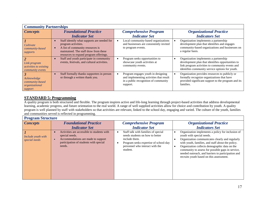| <b>Community Partnerships</b>                                     |                                                                                                                                                                                           |                                                                                                                                   |                                                                                                                                                                                                  |
|-------------------------------------------------------------------|-------------------------------------------------------------------------------------------------------------------------------------------------------------------------------------------|-----------------------------------------------------------------------------------------------------------------------------------|--------------------------------------------------------------------------------------------------------------------------------------------------------------------------------------------------|
| <b>Concepts</b>                                                   | <b>Foundational Practice</b>                                                                                                                                                              | <b>Comprehensive Program</b>                                                                                                      | <b>Organizational Practice</b>                                                                                                                                                                   |
|                                                                   | <b>Indicator Set</b>                                                                                                                                                                      | <b>Indicator Set</b>                                                                                                              | <b>Indicators Set</b>                                                                                                                                                                            |
| Cultivate<br><i>community-based</i><br>supports                   | Staff identify what supports are needed for<br>program activities.<br>A list of community resources is<br>maintained. The staff draw from these<br>resources to expand program offerings. | Local community-based organizations<br>and businesses are consistently invited<br>to program events.                              | Organization implements a partnership<br>development plan that identifies and engages<br>community-based organizations and businesses on<br>a regular basis.                                     |
| Link program<br><i>activities to existing</i><br>community events | Staff and youth participate in community<br>events, festivals, and cultural activities.                                                                                                   | Program seeks opportunities to<br>showcase youth activities at<br>community events.                                               | Organization implements a partnership<br>development plan that identifies opportunities to<br>link program activities to community events and<br>identifies community service options for youth. |
| Acknowledge<br>community-based<br>organizational<br>support       | Staff formally thanks supporters in person<br>or through a written thank you.                                                                                                             | Program engages youth in designing<br>and implementing activities that result<br>in a public recognition of community<br>support. | Organization provides resources to publicly or<br>formally recognize organizations that have<br>provided significant support to the program and its<br>families.                                 |

## **STANDARD 5: Programming**

A quality program is both structured and flexible. The program inspires active and life-long learning through project-based activities that address developmental learning, academic progress, and future orientation to the real world. A range of well supplied activities allow for choice and contribution by youth. A quality program is well planned by staff with stakeholders so that activities are relevant, linked to the school day, engaging and varied. The culture of the youth, families and communities served is reflected in programming.

| <b>Program Structure</b>            |                                                                                                                                                        |                                                                                                                                                                                 |                                                                                                                                                                                                                                                                                                                                                                                                |  |
|-------------------------------------|--------------------------------------------------------------------------------------------------------------------------------------------------------|---------------------------------------------------------------------------------------------------------------------------------------------------------------------------------|------------------------------------------------------------------------------------------------------------------------------------------------------------------------------------------------------------------------------------------------------------------------------------------------------------------------------------------------------------------------------------------------|--|
| <b>Concepts</b>                     | <b>Foundational Practice</b><br><b>Indicator Set</b>                                                                                                   | <b>Comprehensive Program</b><br><b>Indicator Set</b>                                                                                                                            | <b>Organizational Practice</b><br><b>Indicators Set</b>                                                                                                                                                                                                                                                                                                                                        |  |
| Include youth with<br>special needs | Activities are accessible to students with<br>special needs.<br>Accommodations are made to support<br>participation of students with special<br>needs. | Staff talk with families of special<br>needs students on how to better<br>include them.<br>Program seeks expertise of school-day<br>personnel who interact with the<br>student. | Organization implements a policy for inclusion of<br>youth with special needs.<br>Organization communicates clearly and regularly<br>with youth, families, and staff about the policy.<br>Organization collects demographic data on the<br>community to assess for possible gaps in service,<br>needed outreach, and barriers to participation and<br>recruits youth based on this assessment. |  |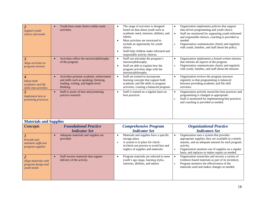| $\overline{2}$<br>Support youth<br>choice and needs<br>$\overline{3}$<br>Align activities to<br>program mission | Youth have some choice within some<br>activities.<br>Activities reflect the mission/philosophy<br>$\bullet$<br>of the program.                     | The range of activities is designed<br>$\bullet$<br>based on data about youth such as<br>academic need, interests, abilities, and<br>talents.<br>Most activities are structured to<br>$\bullet$<br>include an opportunity for youth<br>choice.<br>Staff help children make informed and<br>$\bullet$<br>responsible activity choices.<br>Staff can articulate the program's<br>$\bullet$<br>mission/philosophy.<br>Staff are able to explain how the<br>$\bullet$<br>program activities align with the<br>mission/philosophy. | Organization implements policies that support<br>$\bullet$<br>data driven programming and youth choice.<br>Staff are monitored for supporting youth-informed<br>$\bullet$<br>and responsible choices, coaching is provided as<br>needed.<br>Organization communicates clearly and regularly<br>with youth, families, and staff about the policy.<br>Organization implements a formal written mission<br>$\bullet$<br>that informs all aspects of the program.<br>Organization communicates clearly and regularly<br>$\bullet$<br>with youth, families, and staff about the mission. |
|-----------------------------------------------------------------------------------------------------------------|----------------------------------------------------------------------------------------------------------------------------------------------------|-------------------------------------------------------------------------------------------------------------------------------------------------------------------------------------------------------------------------------------------------------------------------------------------------------------------------------------------------------------------------------------------------------------------------------------------------------------------------------------------------------------------------------|-------------------------------------------------------------------------------------------------------------------------------------------------------------------------------------------------------------------------------------------------------------------------------------------------------------------------------------------------------------------------------------------------------------------------------------------------------------------------------------------------------------------------------------------------------------------------------------|
| $\boldsymbol{4}$<br>Infuse both<br>academic and life<br>skills into activities                                  | Activities promote academic achievement<br>$\bullet$<br>and skills such as speaking, listening,<br>reading, writing, and higher-level<br>thinking. | Staff are trained to incorporate<br>$\bullet$<br>learning concepts that support both<br>academic and life skills in program<br>activities, creating a balanced program.                                                                                                                                                                                                                                                                                                                                                       | Organization reviews the program structure<br>$\bullet$<br>regularly so that programming is balanced<br>between providing academic and life skill<br>activities.                                                                                                                                                                                                                                                                                                                                                                                                                    |
| 5<br>Implement best or<br>promising practices                                                                   | Staff is aware of best and promising<br>$\bullet$<br>practice research.                                                                            | Staff is trained on a regular basis on<br>$\bullet$<br>best practices.                                                                                                                                                                                                                                                                                                                                                                                                                                                        | Organization actively researches best practices and<br>$\bullet$<br>programming is changed as appropriate.<br>Staff is monitored for implementing best practices<br>and coaching is provided as needed.                                                                                                                                                                                                                                                                                                                                                                             |
| <b>Materials and Supplies</b>                                                                                   |                                                                                                                                                    |                                                                                                                                                                                                                                                                                                                                                                                                                                                                                                                               |                                                                                                                                                                                                                                                                                                                                                                                                                                                                                                                                                                                     |
| <b>Concepts</b>                                                                                                 | <b>Foundational Practice</b><br><b>Indicator Set</b>                                                                                               | <b>Comprehensive Program</b><br><b>Indicator Set</b>                                                                                                                                                                                                                                                                                                                                                                                                                                                                          | <b>Organizational Practice</b><br><b>Indicators Set</b>                                                                                                                                                                                                                                                                                                                                                                                                                                                                                                                             |
| Provide and<br>maintain sufficient<br>program supplies                                                          | Adequate materials and supplies are<br>$\bullet$<br>provided.                                                                                      | Materials and supplies have a specific<br>$\bullet$<br>storage place.<br>A system is in place for check-<br>$\bullet$<br>in/check-out process to avoid loss and<br>neglect of supplies and materials.                                                                                                                                                                                                                                                                                                                         | Organization uses a system that provides<br>$\bullet$<br>appropriate supplies; they are available in a timely<br>manner, and an adequate amount for each program<br>activity.<br>Organization monitors use of supplies on a regular<br>$\bullet$<br>basis, and replaces or makes repairs as needed.                                                                                                                                                                                                                                                                                 |
| $\overline{2}$<br>Align materials with<br>program design and<br>youth needs                                     | Staff secures materials that support<br>$\bullet$<br>delivery of the activity.                                                                     | Program materials are selected to meet<br>$\bullet$<br>youth's age range, learning styles,<br>interests, abilities, and talents.                                                                                                                                                                                                                                                                                                                                                                                              | Organization researches and secures a variety of<br>$\bullet$<br>evidence-based materials as part of its inventory.<br>Program monitors the effectiveness of the<br>$\bullet$<br>materials used and makes changes as needed.                                                                                                                                                                                                                                                                                                                                                        |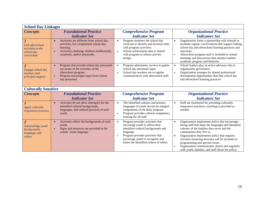| <b>School Day Linkages</b>                                                     |                                                                                                                                                                                                |                                                                                                                                                                                                                                                                      |                                                                                                                                                                                                                                                                                                                                                                                                                                                                           |  |
|--------------------------------------------------------------------------------|------------------------------------------------------------------------------------------------------------------------------------------------------------------------------------------------|----------------------------------------------------------------------------------------------------------------------------------------------------------------------------------------------------------------------------------------------------------------------|---------------------------------------------------------------------------------------------------------------------------------------------------------------------------------------------------------------------------------------------------------------------------------------------------------------------------------------------------------------------------------------------------------------------------------------------------------------------------|--|
| <b>Concepts</b>                                                                | <b>Foundational Practice</b>                                                                                                                                                                   | <b>Comprehensive Program</b>                                                                                                                                                                                                                                         | <b>Organizational Practice</b>                                                                                                                                                                                                                                                                                                                                                                                                                                            |  |
|                                                                                | <b>Indicator Set</b>                                                                                                                                                                           | <b>Indicator Set</b>                                                                                                                                                                                                                                                 | <b>Indicators Set</b>                                                                                                                                                                                                                                                                                                                                                                                                                                                     |  |
| Link afterschool<br><i>activities to the</i><br>school day<br>curriculum       | Activities are different from school-day<br>$\bullet$<br>activities, but complement school day<br>learning.<br>Activities challenge children intellectually,<br>creatively, and/or physically. | Program monitors the school day<br>$\bullet$<br>curricula to identify and increase links<br>with program activities.<br>School achievement data is shared<br>$\bullet$<br>with program to inform activity<br>design.                                                 | Organization forms a partnership with schools to<br>$\bullet$<br>facilitate regular conversations that support linking<br>school day and afterschool learning practices and<br>outcomes.<br>Afterschool program staff is included in school<br>$\bullet$<br>meetings and discussions that monitor student<br>academic progress and behavior.                                                                                                                              |  |
| $\overline{2}$<br>Engage school day<br>teachers and<br>principal support       | Program that provide school day personnel<br>are aware of the activities of the<br>afterschool program.<br>Program encourages input from school<br>$\bullet$<br>day personnel.                 | Program administers surveys to gather<br>$\bullet$<br>school day personnel input.<br>School day teachers are in regular<br>$\bullet$<br>communication with afterschool staff.                                                                                        | School leaders play an active advisory role in<br>$\bullet$<br>organization governance.<br>Organization arranges for shared professional<br>$\bullet$<br>development opportunities that link school day<br>and afterschool learning practices.                                                                                                                                                                                                                            |  |
| <b>Culturally Sensitive</b>                                                    |                                                                                                                                                                                                |                                                                                                                                                                                                                                                                      |                                                                                                                                                                                                                                                                                                                                                                                                                                                                           |  |
| <b>Concepts</b>                                                                | <b>Foundational Practice</b>                                                                                                                                                                   | <b>Comprehensive Program</b>                                                                                                                                                                                                                                         | <b>Organizational Practice</b>                                                                                                                                                                                                                                                                                                                                                                                                                                            |  |
|                                                                                | <b>Indicator Set</b>                                                                                                                                                                           | <b>Indicator Set</b>                                                                                                                                                                                                                                                 | <b>Indicators Set</b>                                                                                                                                                                                                                                                                                                                                                                                                                                                     |  |
| Apply culturally<br>responsive practices                                       | Activities do not show disrespect for the<br>$\bullet$<br>identified cultural backgrounds,<br>languages, and cultural practices of each<br>youth.                                              | The identified cultures and primary<br>$\bullet$<br>languages of youth served are integral<br>components of the daily program.<br>Program provides cultural competency<br>$\bullet$<br>training for all staff.                                                       | Staff are monitored for providing culturally-<br>responsive practices; coaching is provided as<br>needed.                                                                                                                                                                                                                                                                                                                                                                 |  |
| $\overline{2}$<br>Acknowledge youth<br>backgrounds,<br>language, and<br>values | Activities reflect the backgrounds of each<br>$\bullet$<br>youth.<br>Signs and resources are provided in the<br>$\bullet$<br>youths' home language.                                            | Program provides activities that<br>$\bullet$<br>encourage youth to affirm their<br>identified cultural backgrounds and<br>language.<br>Program provides activities that<br>$\bullet$<br>encourage youth to recognize and<br>honor the identified culture of others. | Organization implements policy that encourages<br>$\bullet$<br>hiring staff that share the languages and identified<br>cultures of the families they serve and the<br>communities they live in.<br>Organization implements policy that requires<br>$\bullet$<br>activities honoring diversity will be included in<br>programming and special events.<br>Organization communicates clearly and regularly<br>$\bullet$<br>with youth, families, and staff about the policy. |  |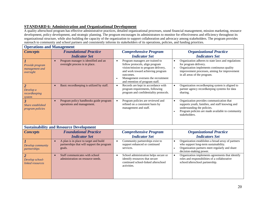## **STANDARD 6: Administration and Organizational Development**

A quality afterschool program has effective administrative practices, detailed organizational processes, sound financial management, mission marketing, resource development, policy development, and strategic planning. The program encourages its administrators to monitor for effectiveness and efficiency throughout its organizational structure, while also building the capacity of the organization to support collaboration and advocacy among stakeholders. The program provides outreach to community and school partners and consistently informs its stakeholders of its operations, policies, and funding priorities.

|                                                         | <b>Operations and Management</b>                                                                            |                                                                                                                                                                                                                                                                 |                                                                                                                                                                                                                           |  |
|---------------------------------------------------------|-------------------------------------------------------------------------------------------------------------|-----------------------------------------------------------------------------------------------------------------------------------------------------------------------------------------------------------------------------------------------------------------|---------------------------------------------------------------------------------------------------------------------------------------------------------------------------------------------------------------------------|--|
| <b>Concepts</b>                                         | <b>Foundational Practice</b><br><b>Indicator Set</b>                                                        | <b>Comprehensive Program</b><br><b>Indicator Set</b>                                                                                                                                                                                                            | <b>Organizational Practice</b><br><b>Indicators Set</b>                                                                                                                                                                   |  |
| Provide program<br>management and<br>oversight          | Program manager is identified and an<br>oversight process is in place.                                      | Program managers are trained to<br>$\bullet$<br>follow protocols, align program<br>vision/mission to program delivery,<br>and work toward achieving program<br>outcomes.<br>Management oversees the recruitment<br>$\bullet$<br>and retention of program staff. | Organization adheres to state laws and regulations<br>$\bullet$<br>for program delivery.<br>Organization implements continuous quality<br>improvement processes, aiming for improvement<br>in all areas of the program.   |  |
| $\overline{2}$<br>Develop a<br>recordkeeping<br>system  | Basic recordkeeping is utilized by staff.                                                                   | Records are kept in accordance with<br>$\bullet$<br>program requirements, following<br>program and confidentiality protocols.                                                                                                                                   | Organization recordkeeping system is aligned to<br>partner agency recordkeeping systems for data<br>sharing.                                                                                                              |  |
| $\overline{3}$<br>Share established<br>program policies | Program policy handbooks guide program<br>operations and management.                                        | Program policies are reviewed and<br>$\bullet$<br>refined on a consistent basis by<br>management and staff.                                                                                                                                                     | Organization provides communication that<br>$\bullet$<br>supports youth, families, and staff knowing and<br>understanding the policies.<br>Program policies are made available to community<br>$\bullet$<br>stakeholders. |  |
|                                                         | <b>Sustainability and Resource Development</b>                                                              |                                                                                                                                                                                                                                                                 |                                                                                                                                                                                                                           |  |
| <b>Concepts</b>                                         | <b>Foundational Practice</b><br><b>Indicator Set</b>                                                        | <b>Comprehensive Program</b><br><b>Indicator Set</b>                                                                                                                                                                                                            | <b>Organizational Practice</b><br><b>Indicators Set</b>                                                                                                                                                                   |  |
| Develop community<br>partnerships                       | A plan is in place to target and build<br>$\bullet$<br>partnerships that will support the program<br>goals. | Community partnerships exist to<br>$\bullet$<br>support enhanced or continued<br>services.                                                                                                                                                                      | Organization establishes a broad array of partners<br>$\bullet$<br>who support long-term sustainability.<br>Organization partners meet regularly and share<br>$\bullet$<br>decision-making power.                         |  |
| $\overline{2}$<br>Develop school-<br>linked resources   | Staff communicates with school<br>$\bullet$<br>administration on resource needs.                            | School administration helps secure or<br>$\bullet$<br>identify resources that secure<br>continued school-linked afterschool<br>activities.                                                                                                                      | Organization implements agreements that identify<br>$\bullet$<br>roles and responsibilities of a collaborative<br>school/afterschool partnership.                                                                         |  |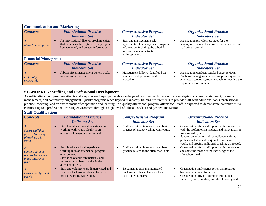| <b>Communication and Marketing</b> |                                                                                                                                     |                                                                                                                                                                  |                                                                                                                                                                                    |
|------------------------------------|-------------------------------------------------------------------------------------------------------------------------------------|------------------------------------------------------------------------------------------------------------------------------------------------------------------|------------------------------------------------------------------------------------------------------------------------------------------------------------------------------------|
| <b>Concepts</b>                    | <b>Foundational Practice</b>                                                                                                        | <b>Comprehensive Program</b>                                                                                                                                     | <b>Organizational Practice</b>                                                                                                                                                     |
|                                    | <b>Indicator Set</b>                                                                                                                | <b>Indicator Set</b>                                                                                                                                             | <b>Indicators Set</b>                                                                                                                                                              |
| Market the program                 | An informational flyer or brochure exists<br>that includes a description of the program,<br>key personnel, and contact information. | Staff and management seek<br>opportunities to convey basic program<br>information, including the schedule,<br>location, scope of activities,<br>philosophy, etc. | Organization provides resources for the<br>development of a website, use of social media, and<br>marketing materials.                                                              |
| <b>Financial Management</b>        |                                                                                                                                     |                                                                                                                                                                  |                                                                                                                                                                                    |
| <i>Concepts</i>                    | <b>Foundational Practice</b>                                                                                                        | <b>Comprehensive Program</b>                                                                                                                                     | <b>Organizational Practice</b>                                                                                                                                                     |
|                                    | <b>Indicator Set</b>                                                                                                                | <b>Indicator Set</b>                                                                                                                                             | <b>Indicators Set</b>                                                                                                                                                              |
| $Be$ fiscally<br>responsible       | A basic fiscal management system tracks<br>income and expenses.                                                                     | Management follows identified best<br>practice fiscal processes and<br>procedures.                                                                               | Organization conducts regular budget reviews.<br>The bookkeeping system used supplies a systems-<br>generated accounting report capable of meeting the<br>requirements of funders. |

## **STANDARD 7: Staffing and Professional Development**

A quality afterschool program attracts and employs staff equipped with knowledge of positive youth development strategies, academic enrichment, classroom management, and community engagement. Quality programs reach beyond mandatory training requirements to provide staff with additional tools, professional practice, coaching, and an environment of cooperation and learning. In a quality afterschool program afterschool, staff is expected to demonstrate commitment to contributing to a professional working environment through a high level of ethical conduct and positive interaction.

| <b>Staff Qualifications</b>                                           |                                                                                                                                                                                                   |                                                                                                            |                                                                                                                                                                                                                                                                                       |
|-----------------------------------------------------------------------|---------------------------------------------------------------------------------------------------------------------------------------------------------------------------------------------------|------------------------------------------------------------------------------------------------------------|---------------------------------------------------------------------------------------------------------------------------------------------------------------------------------------------------------------------------------------------------------------------------------------|
| <b>Concepts</b>                                                       | <b>Foundational Practice</b>                                                                                                                                                                      | <b>Comprehensive Program</b>                                                                               | <b>Organizational Practice</b>                                                                                                                                                                                                                                                        |
|                                                                       | <b>Indicator Set</b>                                                                                                                                                                              | <b>Indicator Set</b>                                                                                       | <b>Indicators Set</b>                                                                                                                                                                                                                                                                 |
| Secure staff that<br>possess knowledge<br>of working with<br>youth    | Staff has education and experience in<br>working with youth, ideally in an<br>afterschool program environment.                                                                                    | Staff are trained in research and best<br>٠<br>practice related to working with youth.                     | Organization offers staff opportunities to keep up<br>with the professional standards and innovations in<br>working with youth.<br>Supervisors monitor staff compliance with the<br>professional standards required to work with<br>youth, and provide additional coaching as needed. |
| Obtain staff that<br>possess knowledge<br>of the afterschool<br>field | Staff is educated and experienced in<br>working in in an afterschool program<br>environment.<br>Staff is provided with materials and<br>information on best practice in the<br>afterschool field. | Staff are trained in research and best<br>$\bullet$<br>practice related to the afterschool field.          | Organization offers staff opportunities to transfer<br>and share the most current knowledge of the<br>afterschool field.                                                                                                                                                              |
| $\mathbf{3}$<br>Provide background<br>checks                          | Staff and volunteers are fingerprinted and<br>receive a background check clearance<br>prior to working with youth.                                                                                | Documentation is maintained of<br>$\bullet$<br>background check clearance for all<br>staff and volunteers. | Organization implements policy that requires<br>$\bullet$<br>background checks for all staff.<br>Organization provides communication that<br>supports youth, families, and staff knowing and                                                                                          |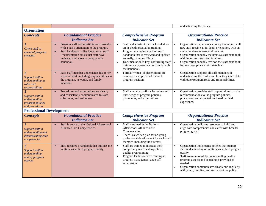|                                                                                          |                                                                                                                                                                                                                                              |                                                                                                                                                                                                                                                                                                                                       | understanding the policy.                                                                                                                                                                                                                                                                                                                                                       |
|------------------------------------------------------------------------------------------|----------------------------------------------------------------------------------------------------------------------------------------------------------------------------------------------------------------------------------------------|---------------------------------------------------------------------------------------------------------------------------------------------------------------------------------------------------------------------------------------------------------------------------------------------------------------------------------------|---------------------------------------------------------------------------------------------------------------------------------------------------------------------------------------------------------------------------------------------------------------------------------------------------------------------------------------------------------------------------------|
| <b>Orientation</b>                                                                       |                                                                                                                                                                                                                                              |                                                                                                                                                                                                                                                                                                                                       |                                                                                                                                                                                                                                                                                                                                                                                 |
| <b>Concepts</b>                                                                          | <b>Foundational Practice</b>                                                                                                                                                                                                                 | <b>Comprehensive Program</b>                                                                                                                                                                                                                                                                                                          | <b>Organizational Practice</b>                                                                                                                                                                                                                                                                                                                                                  |
|                                                                                          | <b>Indicator Set</b>                                                                                                                                                                                                                         | <b>Indicator Set</b>                                                                                                                                                                                                                                                                                                                  | <b>Indicators Set</b>                                                                                                                                                                                                                                                                                                                                                           |
| Orient staff to<br>essential program<br>elements                                         | Program staff and substitutes are provided<br>$\bullet$<br>with a basic orientation to the program.<br>Staff handbook is distributed to all staff.<br>Documentation exists that staff have<br>reviewed and agree to comply with<br>handbook. | Staff and substitutes are scheduled for<br>$\bullet$<br>an in-depth orientation training.<br>Program maintains a written staff<br>$\bullet$<br>handbook that is reviewed and updated<br>annually, using staff input.<br>Documentation is kept confirming staff<br>$\bullet$<br>training and agreement to comply with<br>the handbook. | Organization implements a policy that requires all<br>$\bullet$<br>new staff receive an in-depth orientation, with an<br>annual reviews of essential policies.<br>Organization annually maintains a staff handbook<br>$\bullet$<br>with input from staff and families.<br>Organization annually reviews the staff handbook<br>$\bullet$<br>for legal compliance with state law. |
| $\overline{2}$<br>Support staff in<br>understanding its<br>roles and<br>responsibilities | Each staff member understands his or her<br>$\bullet$<br>scope of work including responsibilities to<br>the program, its youth, and family<br>members.                                                                                       | Formal written job descriptions are<br>$\bullet$<br>developed and provided for each<br>program position.                                                                                                                                                                                                                              | Organization supports all staff members in<br>$\bullet$<br>understanding their roles and how they interrelate<br>with other program roles and responsibilities.                                                                                                                                                                                                                 |
| 3<br>Support staff in<br>understanding<br><i>program policies</i><br>and procedures      | Procedures and expectations are clearly<br>and consistently communicated to staff,<br>substitutes, and volunteers.                                                                                                                           | Staff annually confirms its review and<br>$\bullet$<br>knowledge of program policies,<br>procedures, and expectations.                                                                                                                                                                                                                | Organization provides staff opportunities to make<br>recommendations to the program policies,<br>procedures, and expectations based on field<br>experience.                                                                                                                                                                                                                     |
| <b>Professional Development</b>                                                          |                                                                                                                                                                                                                                              |                                                                                                                                                                                                                                                                                                                                       |                                                                                                                                                                                                                                                                                                                                                                                 |
| <b>Concepts</b>                                                                          | <b>Foundational Practice</b><br><b>Indicator Set</b>                                                                                                                                                                                         | <b>Comprehensive Program</b><br><b>Indicator Set</b>                                                                                                                                                                                                                                                                                  | <b>Organizational Practice</b><br><b>Indicators Set</b>                                                                                                                                                                                                                                                                                                                         |
| Support staff in<br>understanding and<br>demonstrating core<br>competencies              | Staff is aware of the National Afterschool<br>Alliance Core Competencies.                                                                                                                                                                    | Staff is trained in the National<br>$\bullet$<br>Afterschool Alliance Core<br>Competencies.<br>There is a written plan for on-going<br>$\bullet$<br>professional development for each staff<br>member, including the director.                                                                                                        | Organization dedicates resources to build and<br>$\bullet$<br>align core competencies consistent with broader<br>program goals.                                                                                                                                                                                                                                                 |
| $\overline{2}$<br>Support staff in<br>understanding<br>quality program<br>aspects        | Staff receives a handbook that outlines the<br>$\bullet$<br>multiple aspects of program quality.                                                                                                                                             | Staff are trained to increase their<br>$\bullet$<br>competency in critical aspects of<br>quality programming.<br>Program leaders receive training in<br>$\bullet$<br>program management and staff<br>supervision.                                                                                                                     | Organization implements policies that support<br>$\bullet$<br>staff understanding of multiple aspects of program<br>quality.<br>Staff are monitored for understanding quality<br>$\bullet$<br>program aspects and coaching is provided as<br>needed.<br>Organization communicates clearly and regularly<br>$\bullet$<br>with youth, families, and staff about the policy.       |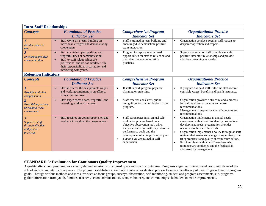| <b>Intra-Staff Relationships</b>                                                             |                                                                                                                                                                                                                                             |                                                                                                                                                                                                                                                                                                          |                                                                                                                                                                                                                                                                                                                                                                                                                                                                                                                |  |  |
|----------------------------------------------------------------------------------------------|---------------------------------------------------------------------------------------------------------------------------------------------------------------------------------------------------------------------------------------------|----------------------------------------------------------------------------------------------------------------------------------------------------------------------------------------------------------------------------------------------------------------------------------------------------------|----------------------------------------------------------------------------------------------------------------------------------------------------------------------------------------------------------------------------------------------------------------------------------------------------------------------------------------------------------------------------------------------------------------------------------------------------------------------------------------------------------------|--|--|
| <b>Concepts</b>                                                                              | <b>Foundational Practice</b><br><b>Indicator Set</b>                                                                                                                                                                                        | <b>Comprehensive Program</b><br><b>Indicator Set</b>                                                                                                                                                                                                                                                     | <b>Organizational Practice</b><br><b>Indicators Set</b>                                                                                                                                                                                                                                                                                                                                                                                                                                                        |  |  |
| $\boldsymbol{I}$<br>Build a cohesive<br>team                                                 | Staff works as a team, building on<br>$\bullet$<br>individual strengths and demonstrating<br>cooperation.                                                                                                                                   | Staff is trained in team building and<br>$\bullet$<br>encouraged to demonstrate positive<br>team interaction.                                                                                                                                                                                            | Organization conducts regular staff retreats to<br>$\bullet$<br>deepen cooperation and respect.                                                                                                                                                                                                                                                                                                                                                                                                                |  |  |
| $\overline{2}$<br>Encourage positive<br>communication                                        | Staff maintains open, positive, and<br>$\bullet$<br>respectful lines of communication.<br>Staff-to-staff relationships are<br>professional and do not interfere with<br>their responsibilities in caring for and<br>interacting with youth. | Program incorporates structured<br>$\bullet$<br>opportunities for staff to reflect on and<br>plan effective communication<br>practices.                                                                                                                                                                  | Supervisors monitor staff compliance with<br>$\bullet$<br>positive inter-staff relationships and provide<br>additional coaching as needed.                                                                                                                                                                                                                                                                                                                                                                     |  |  |
| <b>Retention Indicators</b>                                                                  |                                                                                                                                                                                                                                             |                                                                                                                                                                                                                                                                                                          |                                                                                                                                                                                                                                                                                                                                                                                                                                                                                                                |  |  |
| <b>Concepts</b>                                                                              | <b>Foundational Practice</b><br><b>Indicator Set</b>                                                                                                                                                                                        | <b>Comprehensive Program</b><br><b>Indicator Set</b>                                                                                                                                                                                                                                                     | <b>Organizational Practice</b><br><b>Indicators Set</b>                                                                                                                                                                                                                                                                                                                                                                                                                                                        |  |  |
| Provide equitable<br>compensation                                                            | Staff is offered the best possible wages<br>$\bullet$<br>and working conditions in an effort to<br>reduce staff turnover.                                                                                                                   | If staff is paid, program pays for<br>$\bullet$<br>planning or prep time.                                                                                                                                                                                                                                | If program has paid staff, full-time staff receive<br>$\bullet$<br>equitable wages, benefits and health insurance.                                                                                                                                                                                                                                                                                                                                                                                             |  |  |
| $\overline{2}$<br>Establish a positive,<br>rewarding work<br>environment                     | Staff experiences a safe, respectful, and<br>$\bullet$<br>rewarding work environment.                                                                                                                                                       | Staff receives consistent, public<br>$\bullet$<br>recognition for its contribution to the<br>program.                                                                                                                                                                                                    | Organization provides a structure and a process<br>$\bullet$<br>for staff to express concerns and make<br>recommendations.<br>Management is responsive to staff concerns and<br>recommendations.                                                                                                                                                                                                                                                                                                               |  |  |
| $\overline{\mathbf{3}}$<br>Supervise staff<br>through effective<br>and positive<br>practices | Staff receives on-going supervision and<br>feedback throughout the program year.                                                                                                                                                            | Staff participates in an annual self-<br>$\bullet$<br>evaluation process based on an<br>objective observation tool, which<br>includes discussion with supervisor on<br>performance goals and the<br>development of an improvement plan.<br>Supervisors are trained in staff<br>$\bullet$<br>supervision. | Organization implements an annual needs<br>$\bullet$<br>assessment with all staff to identify professional<br>development needs; organization provides<br>resources to the meet the needs.<br>Organization implements a policy for regular staff<br>$\bullet$<br>reviews that assess knowledge of supervisory role<br>(if appropriate) and quality of team contribution.<br>Exit interviews with all staff members who<br>$\bullet$<br>terminate are conducted and the feedback is<br>addressed by management. |  |  |

## **STANDARD 8: Evaluation for Continuous Quality Improvement**

A quality afterschool program has a clearly defined mission with aligned goals and specific outcomes. Programs align their mission and goals with those of the school and community that they serve. The program establishes a continuous, internal evaluation process to assess the efficacy of their progress towards program goals. Through various methods and measures such as focus groups, surveys, observation, self-monitoring, student and program assessments, etc, programs gather information from youth, families, teachers, school administrators, staff, volunteers, and community stakeholders to make improvements.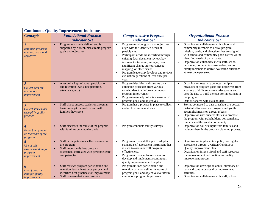| <b>Continuous Quality Improvement Indicators</b>                                |                                                                                                                                                                                     |                                                                                                                                                                                                                                                                                                                                                                                                                                 |                                                                                                                                                                                                                                                                                                                                                                                                                               |  |  |  |
|---------------------------------------------------------------------------------|-------------------------------------------------------------------------------------------------------------------------------------------------------------------------------------|---------------------------------------------------------------------------------------------------------------------------------------------------------------------------------------------------------------------------------------------------------------------------------------------------------------------------------------------------------------------------------------------------------------------------------|-------------------------------------------------------------------------------------------------------------------------------------------------------------------------------------------------------------------------------------------------------------------------------------------------------------------------------------------------------------------------------------------------------------------------------|--|--|--|
| <b>Concepts</b>                                                                 | <b>Foundational Practice</b><br><b>Indicator Set</b>                                                                                                                                | <b>Comprehensive Program</b><br><b>Indicator Set</b>                                                                                                                                                                                                                                                                                                                                                                            | <b>Organizational Practice</b><br><b>Indicators Set</b>                                                                                                                                                                                                                                                                                                                                                                       |  |  |  |
| Establish program<br>mission, goals and<br>objectives                           | Program mission is defined and is<br>$\bullet$<br>supported by current, measurable program<br>goals and objectives.                                                                 | Program mission, goals, and objectives<br>$\bullet$<br>align with the identified needs of<br>participants.<br>Participant needs are identified through<br>$\bullet$<br>existing data, document review, key<br>informant interviews, surveys, most<br>significant change stories, concept<br>mapping, or other means.<br>Program leadership develops and reviews<br>$\bullet$<br>evaluation questions at least once per<br>year. | Organization collaborates with school and<br>$\bullet$<br>community members to derive program<br>mission, goals, and objectives that are aligned<br>with school and community goals as well as the<br>identified needs of participants.<br>Organization collaborates with staff, school<br>$\bullet$<br>personnel, community stakeholders, and/or<br>family members to derive evaluation questions<br>at least once per year. |  |  |  |
| $\overline{2}$<br>Collect data for<br>continuous<br>improvement                 | A record is kept of youth participation<br>$\bullet$<br>and retention levels. (Registration,<br>attendance, etc.)                                                                   | Program identifies and sustains data<br>$\bullet$<br>collection processes from various<br>stakeholders that inform continuous<br>program improvement<br>Program regularly collects measures of<br>$\bullet$<br>program goals and objectives.                                                                                                                                                                                    | Organization regularly collects multiple<br>$\bullet$<br>measures of program goals and objectives from<br>a variety of different stakeholder groups and<br>uses the data to build the case for investment in<br>the program<br>Data are shared with stakeholders.<br>$\bullet$                                                                                                                                                |  |  |  |
| $\boldsymbol{\beta}$<br>Collect stories that<br>exemplify quality<br>practice   | Staff shares success stories on a regular<br>basis amongst themselves and with<br>families they serve.                                                                              | Program has a process in place to collect<br>$\bullet$<br>and archive success stories.                                                                                                                                                                                                                                                                                                                                          | Stories connected to data snapshots are posted/<br>$\bullet$<br>distributed to showcase program and youth<br>accomplishments on a regular basis.<br>Organization uses success stories to promote<br>$\bullet$<br>the program with stakeholders, policymakers,<br>funders, and the greater community.                                                                                                                          |  |  |  |
| 4<br><b>Enlist family input</b><br>on the value of the<br>program               | Staff discusses the value of the program<br>$\bullet$<br>with families on a regular basis.                                                                                          | Program conducts family surveys.                                                                                                                                                                                                                                                                                                                                                                                                | Organization solicits input from families and<br>$\bullet$<br>includes them in the program planning process.                                                                                                                                                                                                                                                                                                                  |  |  |  |
| $\overline{5}$<br>Use of self-<br>assessment data for<br>program<br>improvement | Staff participates in a self-assessment of<br>$\bullet$<br>the program.<br>Staff understands how program<br>assessment correlates with personnel core<br>competencies.              | Program utilizes staff input to adopt a<br>$\bullet$<br>standard self-assessment instrument that<br>is used to assess overall program<br>effectiveness.<br>Program utilizes self-assessment to<br>$\bullet$<br>develop and implement a continuous<br>quality improvement action plan.                                                                                                                                           | Organization implements a policy for regular<br>$\bullet$<br>assessment through a written Continuous<br>Quality Improvement Plan.<br>Organization invests fiscal and staff resources<br>$\bullet$<br>for an assessment and continuous quality<br>improvement process.                                                                                                                                                         |  |  |  |
| 6<br>Use of program<br>data for quality<br>improvement                          | Staff reviews program participation and<br>$\bullet$<br>retention data at least once per year and<br>identifies best-practices for improvement.<br>Staff is aware that some program | Program utilizes participation and<br>$\bullet$<br>retention data, as well as measures of<br>program goals and objectives to inform<br>continuous program improvement                                                                                                                                                                                                                                                           | Organization develops an annual summary of<br>$\bullet$<br>data and continuous quality improvement<br>activities.<br>Organization collaborates with staff, school<br>$\bullet$                                                                                                                                                                                                                                                |  |  |  |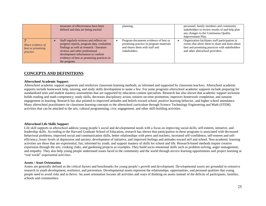|                                                    | measures of effectiveness have been<br>defined and data are being tracked                                                                                                                                                                                                | planning.                                                                                                                           | personnel, family members and community<br>stakeholders to review results of and help plan<br>any changes to the Continuous Quality<br>Improvement Plan.                                 |
|----------------------------------------------------|--------------------------------------------------------------------------------------------------------------------------------------------------------------------------------------------------------------------------------------------------------------------------|-------------------------------------------------------------------------------------------------------------------------------------|------------------------------------------------------------------------------------------------------------------------------------------------------------------------------------------|
| Share evidence of<br>best or promising<br>practice | Staff regularly reviews and reflects on<br>progress reports, program data, evaluation<br>findings as well as research / literature<br>reviews and other professional<br>development information to confirm<br>evidence of best or promising practices in<br>the program. | Program documents evidence of best or<br>promising practice in program materials<br>and shares them with staff and<br>stakeholders. | Organization facilitates staff participation in<br>events that allow them to share and learn about<br>best and promising practices with stakeholders<br>and other afterschool providers. |

## **CONCEPTS AND DEFINITIONS**

#### **Afterschool Academic Support**

Afterschool academic support augments and reinforces classroom learning methods, as informed and supported by classroom teachers. Afterschool academic supports include homework help, tutoring, and study skills development to name a few. For some programs afterschool academic supports include preparing for standardized tests and student mastery assessments that are supported by education content specialists. Research has also shown that academic support inclusion builds reading and math competency, study skills, decreases disciplinary action, ensures on-time promotion, improves homework completion, and sustains engagement in learning. Research has also pointed to improved attitudes and beliefs toward school, positive learning behavior, and higher school attendance. Many afterschool practitioners tie classroom learning concepts to the afterschool curriculum through Science Technology Engineering and Math (STEM) activities that can be attached to the arts, cultural programming, civic engagement, and other skill-building activities.

#### **Afterschool Life Skills Support**

Life skill supports in afterschool address young people's social and developmental needs with a focus on improving social skills, self-esteem, initiative, and leadership skills. According to the Harvard Graduate School of Education, research has shown that participation in these programs is associated with decreased behavioral problems, improved social and communication skills, better relationships with peers and teachers, increased self-confidence, self-esteem and selfefficiency, lower levels of depression and anxiety, development of initiative, and improved feelings and attitudes toward self and school. Non-academic learning activities are those that are experiential, fun, informed by youth, and support mastery of skills for school and life. Research-based methods inspire creative expression through the arts, cooking clubs, and gardening projects as examples. They build socio-emotional skills such as problem-solving, anger management, and empathy. They also help young people understand issues faced in the community and the world through service learning opportunities and project learning or "real world" experiential activities.

#### **Assets / Asset Orientation**

Assets are generally defined as the critical factors and benchmarks for young people's growth and development. Developmental assets are grounded in extensive research in youth development, resilience, and prevention. Developmental assets represent the relationships, opportunities, and personal qualities that young people need to avoid risks and to thrive. An asset orientation focuses all activities and ways of thinking on assets instead of the deficits of participants, families, schools and communities.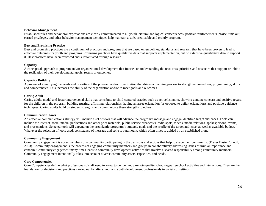#### **Behavior Management**

Established rules and behavioral expectations are clearly communicated to all youth. Natural and logical consequences, positive reinforcements, praise, time out, earned privileges, and other behavior management techniques help maintain a safe, predictable and orderly program.

#### **Best and Promising Practice**

Best and promising practices are a continuum of practices and programs that are based on guidelines, standards and research that have been proven to lead to effective outcomes for youth and programs. Promising practices have qualitative data that supports implementation, but no extensive quantitative data to support it. Best practices have been reviewed and substantiated through research.

#### **Capacity**

A conceptual approach to program and/or organizational development that focuses on understanding the resources, priorities and obstacles that support or inhibit the realization of their developmental goals, results or outcomes.

#### **Capacity Building**

A process of identifying the needs and priorities of the program and/or organization that drives a planning process to strengthen procedures, programming, skills and competencies. This increases the ability of the organization and/or to meet goals and outcomes.

#### **Caring Adult**

Caring adults model and foster interpersonal skills that contribute to child-centered practice such as active listening, showing genuine concern and positive regard for the children in the program, building trusting, affirming relationships, having an asset-orientation (as opposed to deficit orientation), and positive guidance techniques. Caring adults build on student strengths and communicate these strengths to others.

#### **Communication Tools**

An effective communications strategy will include a set of tools that will advance the program's message and engage identified target audiences. Tools can include the internet, social media, publications and other print materials, public service broadcasts, radio spots, videos, media relations, spokespersons, events, and presentations. Selected tools will depend on the organization/program's strategic goals and the profile of the target audience, as well as available budget. Whatever the selection of tools used, consistency of message and style is paramount, which often times is guided by an established brand.

#### **Community Engagement**

Community engagement is about members of a community participating in the decisions and actions that help to shape their community. (Fraser Basin Council, 2003). Community engagement is the process of engaging community members and groups in collaboratively addressing issues of mutual importance and concern. Community engagement many times leads to community development activities that involve a shared responsibility among community members. Community engagement intentionally takes into account diverse community assets, capacities, and needs.

#### **Core Competencies**

Core Competencies define what professionals / staff need to know to deliver and promote quality school-age/afterschool activities and interactions. They are the foundation for decisions and practices carried out by afterschool and youth development professionals in variety of settings.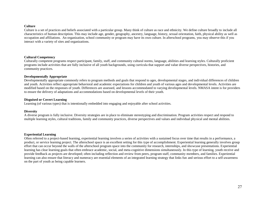#### **Culture**

Culture is a set of practices and beliefs associated with a particular group. Many think of culture as race and ethnicity. We define culture broadly to include all characteristics of human description. This may include age, gender, geography, ancestry, language, history, sexual orientation, faith, physical ability as well as occupation and affiliations. An organization, school community or program may have its own culture. In afterschool programs, you may observe this if you interact with a variety of sites and organizations.

#### **Cultural Competency**

Culturally competent programs respect participant, family, staff, and community cultural norms, language, abilities and learning styles. Culturally proficient programs include activities that are fully inclusive of all youth backgrounds, using curricula that support and value diverse perspectives, histories, and community practices.

#### **Developmentally Appropriate**

Developmentally appropriate commonly refers to program methods and goals that respond to ages, developmental stages, and individual differences of children and youth. Activities reflect appropriate behavioral and academic expectations for children and youth of various ages and developmental levels. Activities are modified based on the responses of youth. Differences are assessed, and lessons accommodated to varying developmental levels. NMASA intent is for providers to ensure the delivery of adaptations and accommodations based on developmental levels of their youth.

#### **Disguised or Covert Learning**

Learning (of various types) that is intentionally embedded into engaging and enjoyable after school activities.

#### **Diversity**

A diverse program is fully inclusive. Diversity strategies are in place to eliminate stereotyping and discrimination. Program activities respect and respond to multiple learning styles, cultural traditions, family and community practices, diverse perspectives and values and individual physical and mental abilities.

#### **Experiential Learning**

Often referred to a project-based learning, experiential learning involves a series of activities with a sustained focus over time that results in a performance, a product, or service learning project. The afterschool space is an excellent setting for this type of accomplishment. Experiential learning generally involves group effort that can occur beyond the walls of the afterschool program space into the community for research, internships, and showcase presentations. Experiential learning has clear learning goals that often embrace academic, social, and meta-cognitive dimensions simultaneously. In this type of learning, youth receive and provide feedback as projects are developed; often including reflection and review from peers, program staff, community members, and families. Experiential learning can also ensure that literacy and numeracy are essential elements of an integrated learning strategy that links fun and serious effort to a self-awareness on the part of youth as being capable learners.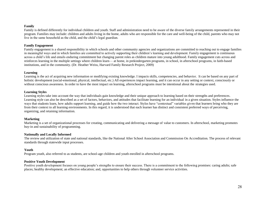#### **Family**

Family is defined differently for individual children and youth. Staff and administration need to be aware of the diverse family arrangements represented in their program. Families may include: children and adults living in the home, adults who are responsible for the care and well-being of the child, parents who may not live in the same household as the child, and the child's legal guardian.

#### **Family Engagement**

Family engagement is a shared responsibility in which schools and other community agencies and organizations are committed to reaching out to engage families in meaningful ways and in which families are committed to actively supporting their children's learning and development. Family engagement is continuous across a child's life and entails enduring commitment but changing parent roles as children mature into young adulthood. Family engagement cuts across and reinforces learning in the multiple settings where children learn— at home, in prekindergarten programs, in school, in afterschool programs, in faith-based institutions, and in the community. (Dr. Heather Weiss, Harvard Family Research Project, 2009)

#### **Learning**

Learning is the act of acquiring new information or modifying existing knowledge. I impacts skills, competencies, and behavior. It can be based on any part of holistic development (social-emotional, physical, intellectual, etc.) All experiences impact learning, and it can occur in any setting or context, consciously or without conscious awareness. In order to have the most impact on learning, afterschool programs must be intentional about the strategies used.

#### **Learning Styles**

Learning styles take into account the way that individuals gain knowledge and their unique approach to learning based on their strengths and preferences. Learning style can also be described as a set of factors, behaviors, and attitudes that facilitate learning for an individual in a given situation. Styles influence the ways that students learn, how adults support learning, and guide how the two interact. Styles have "contextual" variables given that learners bring who they are from their context to all learning environments. In this regard, it is understood that each learner has distinct and consistent preferred ways of perceiving, organizing, and retaining information.

#### **Marketing**

Marketing is a set of organizational processes for creating, communicating and delivering a message of value to customers. In afterschool, marketing promotes buy-in and sustainability of programming.

#### **Nationally and Locally Informed**

The review and utilization of state and national standards, like the National After School Association and Commission On Accreditation. The process of relevant standards through statewide input processes.

#### **Youth**

Program youth, also referred to as students, are school-age children and youth enrolled in afterschool programs.

#### **Positive Youth Development**

Positive youth development focuses on young people's strengths to ensure their success. There is a commitment to the following promises: caring adults; safe places; healthy development; an effective education; and, opportunities to help others through volunteer service activities.